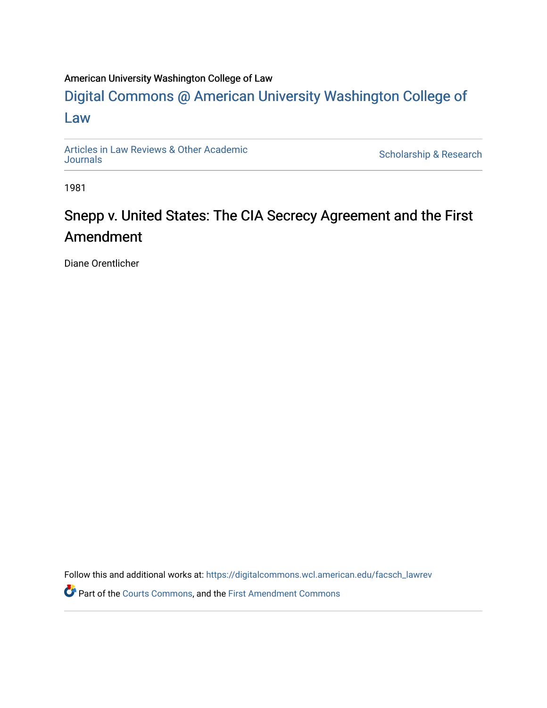### American University Washington College of Law

## [Digital Commons @ American University Washington College of](https://digitalcommons.wcl.american.edu/)  [Law](https://digitalcommons.wcl.american.edu/)

[Articles in Law Reviews & Other Academic](https://digitalcommons.wcl.american.edu/facsch_lawrev) 

Scholarship & Research

1981

# Snepp v. United States: The CIA Secrecy Agreement and the First Amendment

Diane Orentlicher

Follow this and additional works at: [https://digitalcommons.wcl.american.edu/facsch\\_lawrev](https://digitalcommons.wcl.american.edu/facsch_lawrev?utm_source=digitalcommons.wcl.american.edu%2Ffacsch_lawrev%2F1719&utm_medium=PDF&utm_campaign=PDFCoverPages) 

Part of the [Courts Commons,](http://network.bepress.com/hgg/discipline/839?utm_source=digitalcommons.wcl.american.edu%2Ffacsch_lawrev%2F1719&utm_medium=PDF&utm_campaign=PDFCoverPages) and the [First Amendment Commons](http://network.bepress.com/hgg/discipline/1115?utm_source=digitalcommons.wcl.american.edu%2Ffacsch_lawrev%2F1719&utm_medium=PDF&utm_campaign=PDFCoverPages)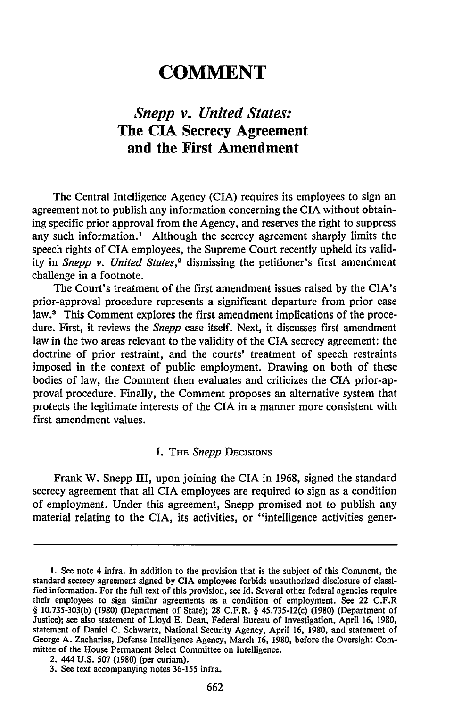## **COMMENT**

### *Snepp v. United States:* **The CIA Secrecy Agreement and the First Amendment**

The Central Intelligence Agency **(CIA)** requires its employees to sign an agreement not to publish any information concerning the CIA without obtaining specific prior approval from the Agency, and reserves the right to suppress any such information.' Although the secrecy agreement sharply limits the speech rights of CIA employees, the Supreme Court recently upheld its validity in *Snepp v. United States,2* dismissing the petitioner's first amendment challenge in a footnote.

The Court's treatment of the first amendment issues raised by the CIA's prior-approval procedure represents a significant departure from prior case law.<sup>3</sup> This Comment explores the first amendment implications of the procedure. First, it reviews the *Snepp* case itself. Next, it discusses first amendment law in the two areas relevant to the validity of the CIA secrecy agreement: the doctrine of prior restraint, and the courts' treatment of speech restraints imposed in the context of public employment. Drawing on both of these bodies of law, the Comment then evaluates and criticizes the CIA prior-approval procedure. Finally, the Comment proposes an alternative system that protects the legitimate interests of the CIA in a manner more consistent with first amendment values.

#### I. **THE** *Snepp* DECISIONS

Frank W. Snepp III, upon joining the CIA in 1968, signed the standard secrecy agreement that all CIA employees are required to sign as a condition of employment. Under this agreement, Snepp promised not to publish any material relating to the CIA, its activities, or "intelligence activities gener-

<sup>1.</sup> See note 4 infra. In addition to the provision that is the subject of this Comment, the standard secrecy agreement signed **by CIA** employees forbids unauthorized disclosure **of** classified information. For the full text of this provision, see id. Several other federal agencies require their employees to sign similar agreements as a condition of employment. See 22 C.F.R § 10.735-303(b) (1980) (Department of State); 28 C.F.R. § 45.735-12(c) (1980) (Department of Justice); see also statement of Lloyd E. Dean, Federal Bureau of Investigation, April **16, 1980,** statement of Daniel **C.** Schwartz, National Security Agency, April 16, 1980, and statement of George A. Zacharias, Defense Intelligence Agency, March 16, 1980, before the Oversight Committee of the House Permanent Select Committee on Intelligence.

<sup>2. 444</sup> U.S. 507 (1980) (per curiam).

<sup>3.</sup> See text accompanying notes 36-155 infra.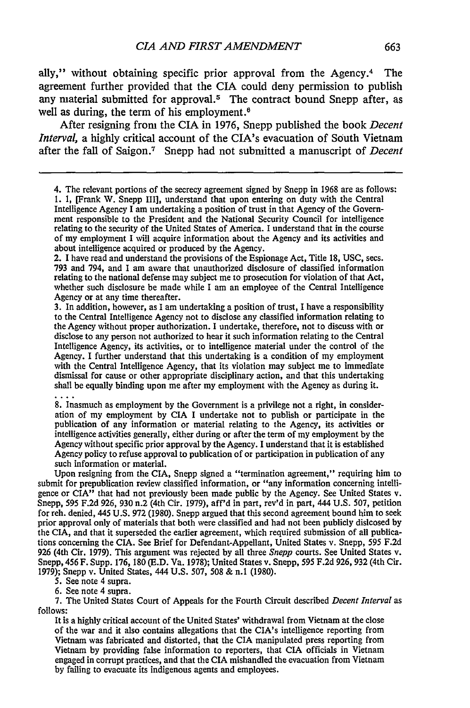ally," without obtaining specific prior approval from the Agency.<sup>4</sup> The agreement further provided that the CIA could deny permission to publish any material submitted for approval.<sup>5</sup> The contract bound Snepp after, as well as during, the term of his employment. $6$ 

After resigning from the CIA in 1976, Snepp published the book *Decent Interval,* a highly critical account of the CIA's evacuation of South Vietnam after the fall of Saigon.7 Snepp had not submitted a manuscript of *Decent*

2. I have read and understand the provisions of the Espionage Act, Title 18, USC, secs. 793 and 794, and I am aware that unauthorized disclosure of classified information relating to the national defense may subject me to prosecution for violation of that Act, whether such disclosure be made while I am an employee of the Central Intelligence Agency or at any time thereafter.

3. In addition, however, as I am undertaking a position of trust, I have a responsibility to the Central Intelligence Agency not to disclose any classified information relating to the Agency without proper authorization. I undertake, therefore, not to discuss with or disclose to any person not authorized to hear it such information relating to the Central Intelligence Agency, its activities, or to intelligence material under the control of the Agency. I further understand that this undertaking is a condition of my employment with the Central Intelligence Agency, that its violation may subject me to immediate dismissal for cause or other appropriate disciplinary action, and that this undertaking shall be equally binding upon me after my employment with the Agency as during it.

8. Inasmuch as employment by the Government is a privilege not a right, in consideration of my employment by CIA I undertake not to publish or participate in the publication of any information or material relating to the Agency, its activities or intelligence activities generally, either during or after the term of my employment by the Agency without specific prior approval by the Agency. I understand that it is established Agency policy to refuse approval to publication of or participation in publication of any such information or material.

Upon resigning from the CIA, Snepp signed a "termination agreement," requiring him to submit for prepublication review classified information, or "any information concerning intelligence or **CIA"** that had not previously been made public **by** the Agency. See United States v. Snepp, **595 F.2d 926, 930** n.2 (4th Cir. **1979),** aff'd in part, rev'd in part, 444 **U.S. 507,** petition for reh. denied, 445 **U.S. 972 (1980).** Snepp argued that this second agreement bound him to seek prior approval only of materials that both were classified and had not been publicly dislcosed **by** the **CIA,** and that it superseded the earlier agreement, which required submission of all publications concerning the **CIA.** See Brief for Defendant-Appellant, United States v. Snepp, **595 F.2d 926** (4th Cir. **1979).** This argument was rejected **by** all three *Snepp* courts. See United States v. Snepp, 456 F. Supp. **176, 180 (E.D.** Va. **1978);** United States v. Snepp, **595 F.2d 926, 932** (4th Cir. **1979);** Snepp v. United States, 444 **U.S. 507, 508 &** n.1 **(1980).**

**5.** See note 4 supra.

**6.** See note 4 supra.

**7.** The United States Court of Appeals for the Fourth Circuit described *Decent Interval* as **follows:**

It is a **highly** critical account of the United States' withdrawal from Vietnam at the close of the war and it also contains allegations that the CIA's intelligence reporting from Vietnam was fabricated and distorted, that the **CIA** manipulated press reporting from Vietnam **by** providing false information to reporters, that CIA officials in Vietnam engaged in corrupt practices, and that the CIA mishandled the evacuation from Vietnam **by** falling to evacuate its indigenous agents and employees.

<sup>4.</sup> The relevant portions of the secrecy agreement signed by Snepp in 1968 are as follows: 1. I, [Frank W. Snepp III], understand that upon entering on duty with the Central Intelligence Agency I am undertaking a position of trust in that Agency of the Governrelating to the security of the United States of America. I understand that in the course<br>of my employment I will acquire information about the Agency and its activities and about intelligence acquired or produced by the Agency.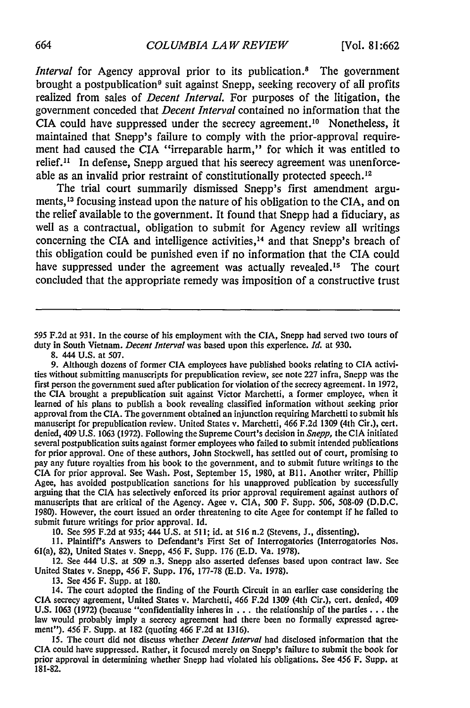*Interval* for Agency approval prior to its publication.8 The government brought a postpublication<sup>9</sup> suit against Snepp, seeking recovery of all profits realized from sales of *Decent Interval.* For purposes of the litigation, the government conceded that *Decent Interval* contained no information that the CIA could have suppressed under the secrecy agreement.<sup>10</sup> Nonetheless, it maintained that Snepp's failure to comply with the prior-approval requirement had caused the CIA "irreparable harm," for which it was entitled to relief." In defense, Snepp argued that his secrecy agreement was unenforceable as an invalid prior restraint of constitutionally protected speech. <sup>12</sup>

The trial court summarily dismissed Snepp's first amendment arguments,<sup>13</sup> focusing instead upon the nature of his obligation to the CIA, and on the relief available to the government. It found that Snepp had a fiduciary, as well as a contractual, obligation to submit for Agency review all writings concerning the CIA and intelligence activities, $14$  and that Snepp's breach of this obligation could be punished even if no information that the CIA could have suppressed under the agreement was actually revealed.<sup>15</sup> The court concluded that the appropriate remedy was imposition of a constructive trust

595 **F.2d** at 931. In the course of his employment with the CIA, Snepp had served two tours of duty in South Vietnam. *Decent Interval* was based upon this experience. *Id.* at 930.

**8.** 444 U.S. at 507.

9. Although dozens of former CIA employees have published books relating to CIA activities without submitting manuscripts for prepublication review, see note 227 infra, Snepp was the first person the government sued after publication for violation of the secrecy agreement. In 1972, the CIA brought a prepublication suit against Victor Marchetti, a former employee, when it learned of his plans to publish a book revealing classified information without seeking prior approval from the CIA. The government obtained an injunction requiring Marchetti to submit his manuscript for prepublication review. United States v. Marchetti, 466 F.2d 1309 (4th Cir.), cert. denied, 409 U.S. 1063 (1972). Following the Supreme Court's decision in *Snepp,* the CIA initiated several postpublication suits against former employees who failed to submit intended publications for prior approval. One of these authors, John Stockwell, has settled out of court, promising to pay any future royalties from his book to the government, and to submit future writings to the CIA for prior approval. See Wash. Post, September 15, 1980, at BII. Another writer, Phillip Agee, has avoided postpublication sanctions for his unapproved publication by successfully arguing that the CIA has selectively enforced its prior approval requirement against authors of manuscripts that are critical of the Agency. Agee v. CIA, 500 F. Supp. 506, 508-09 (D.D.C. 1980). However, the court issued an order threatening to cite Agee for contempt if he failed to submit future writings for prior approval. Id.

10. See 595 F.2d at 935; 444 U.S. at 511; id. at 516 n.2 (Stevens, **J.,** dissenting).

11. Plaintiff's Answers to Defendant's First Set of Interrogatories (Interrogatories Nos. 61(a), 82), United States v. Snepp, 456 F. Supp. 176 (E.D. Va. 1978).

12. See 444 U.S. at 509 n.3. Snepp also asserted defenses based upon contract law. See United States v. Snepp, 456 F. Supp. 176, 177-78 **(E.D.** Va. 1978).

13. See 456 F. Supp. at 180.

14. The court adopted the finding of the Fourth Circuit in an earlier case considering the CIA secrecy agreement, United States v. Marchetti, 466 F.2d 1309 (4th Cir.), cert. denied, 409 U.S. 1063 (1972) (because "confidentiality inheres in .. . the relationship of the parties **...** the law would probably imply a secrecy agreement had there been no formally expressed agreement"). 456 F. Supp. at 182 (quoting 466 F.2d at 1316).

15. The court did not discuss whether *Decent Interval* had disclosed information that the CIA could have suppressed. Rather, it focused merely on Snepp's failure to submit the book for prior approval in determining whether Snepp had violated his obligations. See 456 F. Supp. at **181-82.**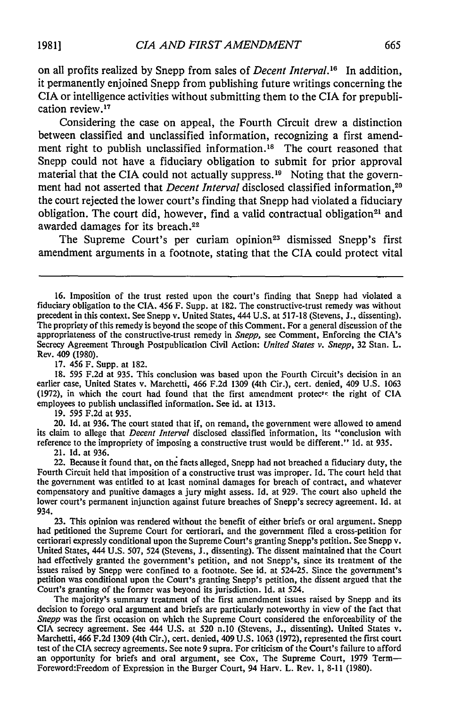on all profits realized by Snepp from sales of *Decent Interval.'6* In addition, it permanently enjoined Snepp from publishing future writings concerning the CIA or intelligence activities without submitting them to the CIA for prepublication review.17

Considering the case on appeal, the Fourth Circuit drew a distinction between classified and unclassified information, recognizing a first amendment right to publish unclassified information.<sup>18</sup> The court reasoned that Snepp could not have a fiduciary obligation to submit for prior approval material that the CIA could not actually suppress.<sup>19</sup> Noting that the government had not asserted that *Decent Interval* disclosed classified information,<sup>20</sup> the court rejected the lower court's finding that Snepp had violated a fiduciary obligation. The court did, however, find a valid contractual obligation<sup>21</sup> and awarded damages for its breach.22

The Supreme Court's per curiam opinion<sup>23</sup> dismissed Snepp's first amendment arguments in a footnote, stating that the CIA could protect vital

17. 456 F. Supp. at 182.

18. 595 F.2d at 935. This conclusion was based upon the Fourth Circuit's decision in an earlier case, United States v. Marchetti, 466 F.2d 1309 (4th Cir.), cert. denied, 409 U.S. 1063 (1972), in which the court had found that the first amendment protects the right of CIA employees to publish unclassified information. See id. at 1313.

19. 595 F.2d at 935.

20. Id. at 936. The court stated that if, on remand, the government were allowed to amend its claim to allege that *Decent Interval* disclosed classified information, its "conclusion with reference to the impropriety of imposing a constructive trust would be different." Id. at 935.

21. Id. at 936.

22. Because it found that, on the facts alleged, Snepp had not breached a fiduciary duty, the Fourth Circuit held that imposition of a constructive trust was improper. Id. The court held that the government was entitled to at least nominal damages for breach of contract, and whatever compensatory and punitive damages a jury might assess. Id. at 929. The court also upheld the lower court's permanent injunction against future breaches of Snepp's secrecy agreement. Id. at 934.

23. This opinion was rendered without the benefit of either briefs or oral argument. Snepp had petitioned the Supreme Court for certiorari, and the government filed a cross-petition for certiorari expressly conditional upon the Supreme Court's granting Snepp's petition. See Snepp v. United States, 444 U.S. 507, 524 (Stevens, J., dissenting). The dissent maintained that the Court had effectively granted the government's petition, and not Snepp's, since its treatment of the issues raised by Snepp were confined to a footnote. See id. at 524-25. Since the government's petition was conditional upon the Court's granting Snepp's petition, the dissent argued that the Court's granting of the former was beyond its jurisdiction. Id. at 524.

The majority's summary treatment of the first amendment issues raised **by** Snepp and its decision to forego oral argument and briefs are particularly noteworthy in view of the fact that *Snepp* was the first occasion on which the Supreme Court considered the enforceability of the CIA secrecy agreement. See 444 U.S. at 520 n.10 (Stevens, J., dissenting). United States v. Marchetti, 466 F.2d 1309 (4th Cir.), cert. denied, 409 U.S. 1063 (1972), represented the first court test of the CIA secrecy agreements. See note 9 supra. For criticism of the Court's failure to afford an opportunity for briefs and oral argument, see Cox, The Supreme Court, 1979 Term-Foreword:Freedom of Expression in the Burger Court, 94 Harv. L. Rev. 1, 8-11 (1980).

<sup>16.</sup> Imposition of the trust rested upon the court's finding that Snepp had violated a fiduciary obligation to the CIA. 456 F. Supp. at 182. The constructive-trust remedy was without precedent in this context. See Snepp v. United States, 444 U.S. at 517-18 (Stevens, J., dissenting). The propriety of this remedy is beyond the scope of this Comment. For a general discussion of the appropriateness of the constructive-trust remedy in *Snepp,* see Comment, Enforcing the CIA's Secrecy Agreement Through Postpublication Civil Action: *United States v. Snepp,* 32 Stan. L. Rev. 409 (1980).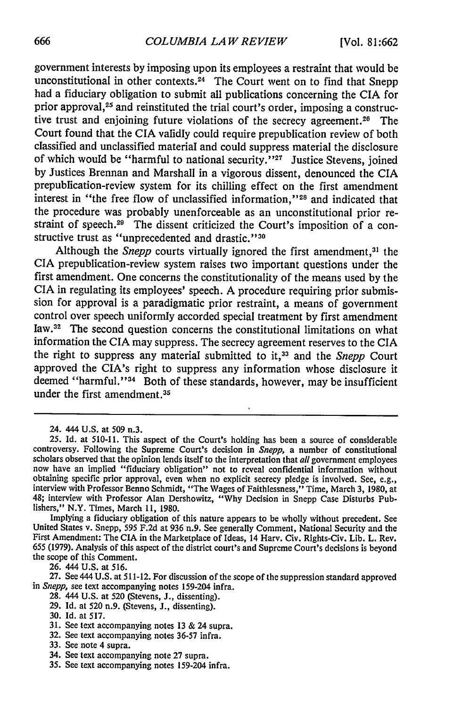government interests by imposing upon its employees a restraint that would be unconstitutional in other contexts.<sup>24</sup> The Court went on to find that Snepp had a fiduciary obligation to submit all publications concerning the CIA for prior approval,<sup>25</sup> and reinstituted the trial court's order, imposing a constructive trust and enjoining future violations of the secrecy agreement.<sup>26</sup> The Court found that the CIA validly could require prepublication review of both classified and unclassified material and could suppress material the disclosure of which would be "harmful to national security."<sup>27</sup> Justice Stevens, joined by Justices Brennan and Marshall in a vigorous dissent, denounced the CIA prepublication-review system for its chilling effect on the first amendment interest in "the free flow of unclassified information,"<sup>28</sup> and indicated that the procedure was probably unenforceable as an unconstitutional prior restraint of speech.<sup>29</sup> The dissent criticized the Court's imposition of a constructive trust as "unprecedented and drastic."<sup>30</sup>

Although the *Snepp* courts virtually ignored the first amendment,<sup>31</sup> the CIA prepublication-review system raises two important questions under the first amendment. One concerns the constitutionality of the means used by the CIA in regulating its employees' speech. A procedure requiring prior submission for approval is a paradigmatic prior restraint, a means of government control over speech uniformly accorded special treatment by first amendment law. 32 The second question concerns the constitutional limitations on what information the CIA may suppress. The secrecy agreement reserves to the CIA the right to suppress any material submitted to it,<sup>33</sup> and the *Snepp* Court approved the CIA's right to suppress any information whose disclosure it deemed "harmful."<sup>34</sup> Both of these standards, however, may be insufficient under the first amendment.<sup>35</sup>

26. 444 U.S. at 516.

27. See 444 U.S. at 511-12. For discussion of the scope of the suppression standard approved in *Snepp,* see text accompanying notes 159-204 infra.

- 28. 444 U.S. at 520 (Stevens, J., dissenting).
- 29. Id. at 520 n.9. (Stevens, J., dissenting).
- 30. Id. at 517.
- 31. See text accompanying notes 13 & 24 supra.
- 32. See text accompanying notes **36-57** infra.
- 33. See note 4 supra.
- 34. See text accompanying note 27 supra.
- 35. See text accompanying notes 159-204 infra.

<sup>24. 444</sup> U.S. at 509 n.3.

<sup>25.</sup> Id. at 510-11. This aspect of the Court's holding has been a source of considerable controversy. Following the Supreme Court's decision in *Snepp,* a number of constitutional scholars observed that the opinion lends itself to the interpretation that *all* government employees now have an implied "fiduciary obligation" not to reveal confidential information without obtaining specific prior approval, even when no explicit secrecy pledge is involved. See, e.g., interview with Professor Benno Schmidt, "The Wages of Faithlessness," Time, March 3, 1980, at 48; interview with Professor Alan Dershowitz, "Why Decision in Snepp Case Disturbs Publishers," N.Y. Times, March **11,** 1980.

Implying a fiduciary obligation of this nature appears to be wholly without precedent. See United States v. Snepp, 595 F.2d at 936 n.9. See generally Comment, National Security and the First Amendment: The CIA in the Marketplace of Ideas, 14 Harv. Civ. Rights-Civ. Lib. L. Rev. 655 (1979). Analysis of this aspect of the district court's and Supreme Court's decisions is beyond the scope of this Comment.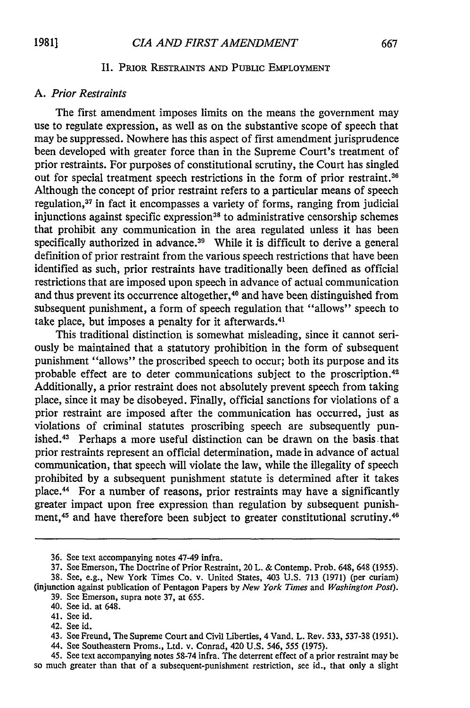#### **II.** PRIOR RESTRAINTS **AND** PUBLIC EMPLOYMENT

#### *A. Prior Restraints*

The first amendment imposes limits on the means the government may use to regulate expression, as well as on the substantive scope of speech that may be suppressed. Nowhere has this aspect of first amendment jurisprudence been developed with greater force than in the Supreme Court's treatment of prior restraints. For purposes of constitutional scrutiny, the Court has singled out for special treatment speech restrictions in the form of prior restraint.<sup>36</sup> Although the concept of prior restraint refers to a particular means of speech regulation,<sup>37</sup> in fact it encompasses a variety of forms, ranging from judicial injunctions against specific expression<sup>38</sup> to administrative censorship schemes that prohibit any communication in the area regulated unless it has been specifically authorized in advance.<sup>39</sup> While it is difficult to derive a general definition of prior restraint from the various speech restrictions that have been identified as such, prior restraints have traditionally been defined as official restrictions that are imposed upon speech in advance of actual communication and thus prevent its occurrence altogether, 40 and have been distinguished from subsequent punishment, a form of speech regulation that "allows" speech to take place, but imposes a penalty for it afterwards.<sup>4</sup>

This traditional distinction is somewhat misleading, since it cannot seriously be maintained that a statutory prohibition in the form of subsequent punishment "allows" the proscribed speech to occur; both its purpose and its probable effect are to deter communications subject to the proscription. <sup>42</sup> Additionally, a prior restraint does not absolutely prevent speech from taking place, since it may be disobeyed. Finally, official sanctions for violations of a prior restraint are imposed after the communication has occurred, just as violations of criminal statutes proscribing speech are subsequently punished. 43 Perhaps a more useful distinction can be drawn on the basis.that prior restraints represent an official determination, made in advance of actual communication, that speech will violate the law, while the illegality of speech prohibited by a subsequent punishment statute is determined after it takes place. 44 For a number of reasons, prior restraints may have a significantly greater impact upon free expression than regulation by subsequent punishment,<sup>45</sup> and have therefore been subject to greater constitutional scrutiny.<sup>46</sup>

**<sup>36.</sup>** See text accompanying notes 47-49 infra.

<sup>37.</sup> See Emerson, The Doctrine of Prior Restraint, 20 L. & Contemp. Prob. 648, 648 (1955). 38. See, e.g., New York Times Co. v. United States, 403 U.S. 713 (1971) (per curiam)

<sup>(</sup>injunction against publication of Pentagon Papers by *New York Times* and *Washington Post).* 39. See Emerson, supra note 37, at 655.

<sup>40.</sup> See id. at 648.

<sup>41.</sup> See id.

<sup>42.</sup> See id.

<sup>43.</sup> See Freund, The Supreme Court and Civil Liberties, 4 Vand. L. Rev. 533, 537-38 (1951).

<sup>44.</sup> See Southeastern Proms., Ltd. v. Conrad, 420 U.S. 546, 555 (1975).

<sup>45.</sup> See text accompanying notes 58-74 infra. The deterrent effect of a prior restraint may be so much greater than that of a subsequent-punishment restriction, see id., that only a slight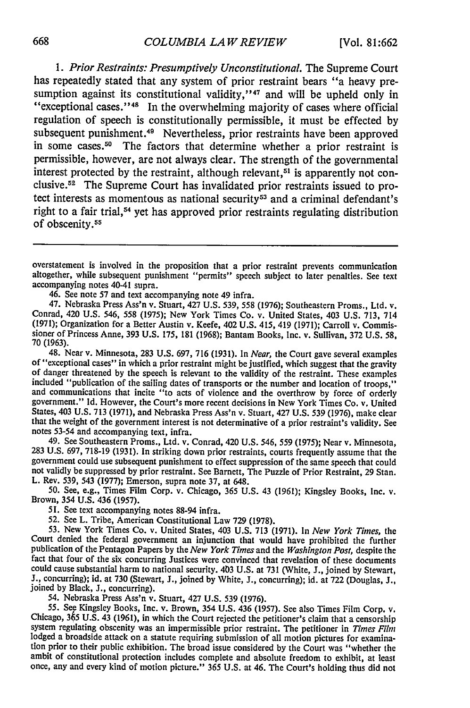*1. Prior Restraints: Presumptively Unconstitutional.* The Supreme Court has repeatedly stated that any system of prior restraint bears "a heavy presumption against its constitutional validity,"<sup>47</sup> and will be upheld only in "exceptional cases."<sup>48</sup> In the overwhelming majority of cases where official regulation of speech is constitutionally permissible, it must be effected by subsequent punishment.<sup>49</sup> Nevertheless, prior restraints have been approved in some cases.<sup>50</sup> The factors that determine whether a prior restraint is permissible, however, are not always clear. The strength of the governmental interest protected by the restraint, although relevant,  $51$  is apparently not conclusive. 52 The Supreme Court has invalidated prior restraints issued to protect interests as momentous as national security<sup>53</sup> and a criminal defendant's right to a fair trial,<sup>54</sup> yet has approved prior restraints regulating distribution of obscenity. <sup>55</sup>

46. See note 57 and text accompanying note 49 infra.

47. Nebraska Press Ass'n v. Stuart, 427 U.S. 539, 558 (1976); Southeastern Proms., Ltd. v. Conrad, 420 U.S. 546, 558 (1975); New York Times Co. v. United States, 403 U.S. 713, 714 (1971); Organization for a Better Austin v. Keefe, 402 U.S. 415, 419 (1971); Carroll v. Commissioner of Princess Anne, **393** U.S. 175, 181 (1968); Bantam Books, Inc. v. Sullivan, **372** U.S. 58, **70** (1963).

48. Near v. Minnesota, 283 U.S. 697, 716 (1931). In *Near*, the Court gave several examples of "exceptional cases" in which a prior restraint might be justified, which suggest that the gravity of danger threatened by the s States, 403 U.S. 713 (1971), and Nebraska Press Ass'n v. Stuart, 427 U.S. **539** (1976), make clear that the weight of the government interest is not determinative of a prior restraint's validity. See notes 53-54 and accompanying text, infra.

49. See Southeastern Proms., Ltd. v. Conrad, 420 U.S. 546, 559 (1975); Near v. Minnesota, **<sup>283</sup>**U.S. 697, 718-19 (1931). In striking down prior restraints, courts frequently assume that the government could use subsequent punishment to effect suppression of the same speech that could not validly be suppressed by prior restraint. See Barnett, The Puzzle of Prior Restraint, **29** Stan. L. Rev. 539, 543 (1977); Emerson, supra note 37, at 648.

50. See, e.g., Times Film Corp. v. Chicago, 365 U.S. 43 (1961); Kingsley Books, Inc. v. Brown, 354 U.S. 436 (1957).

51. See text accompanying notes 88-94 infra.

52. See L. Tribe, American Constitutional Law 729 (1978).<br>53. New York Times Co. v. United States, 403 U.S. 713 (1971). In New York Times, the<br>Court denied the federal government an injunction that would have prohibited th publication of the Pentagon Papers by the *New York Times* and the *Washington Post,* despite the fact that four of the six concurring Justices were convinced that revelation of these documents could cause substantial harm to national security. 403 U.S. at 731 (White, J., joined by Stewart, J., concurring); id. at 730 (Stewart, J., joined by White, J., concurring); id. at 722 (Douglas, J., joined by Black, J., co

lodged a broadside attack on a statute requiring submission of all motion pictures for examination prior to their public exhibition. The broad issue considered by the Court was "whether the ambit of constitutional protection includes complete and absolute freedom to exhibit, at least once, any and every kind of motion picture." 365 U.S. at 46. The Court's holding thus did not

overstatement is involved in the proposition that a prior restraint prevents communication altogether, while subsequent punishment "permits" speech subject to later penalties. See text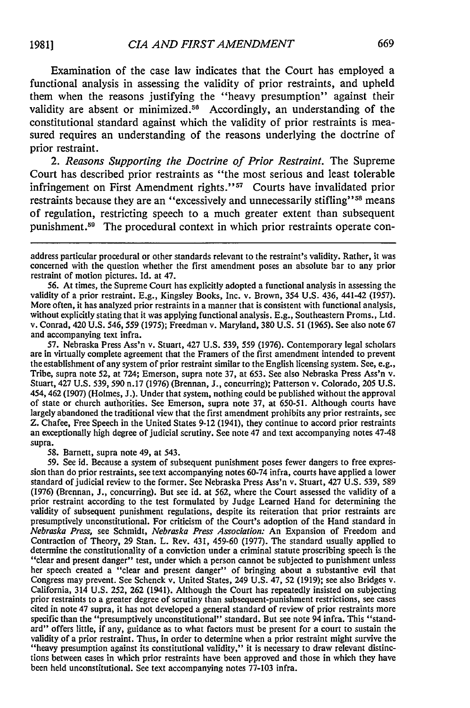constitutional standard against which the validity of prior restraints is measured requires an understanding of the reasons underlying the doctrine of prior restraint.

*2. Reasons Supporting the Doctrine of Prior Restraint.* The Supreme Court has described prior restraints as "the most serious and least tolerable infringement on First Amendment rights."<sup>57</sup> Courts have invalidated prior restraints because they are an "excessively and unnecessarily stifling"<sup>58</sup> means of regulation, restricting speech to a much greater extent than subsequent punishment.<sup>59</sup> The procedural context in which prior restraints operate con-

56. At times, the Supreme Court has explicitly adopted a functional analysis in assessing the validity of a prior restraint. E.g., Kingsley Books, Inc. v. Brown, 354 U.S. 436, 441-42 (1957). More often, it has analyzed prior restraints in a manner that is consistent with functional analysis, without explicitly stating that it was applying functional analysis. E.g., Southeastern Proms., Ltd. v. Conrad, 420 U.S. 546, 559 (1975); Freedman v. Maryland, 380 U.S. 51 (1965). See also note 67 and accompanying text infra.

57. Nebraska Press Ass'n v. Stuart, 427 U.S. 539, 559 (1976). Contemporary legal scholars are in virtually complete agreement that the Framers of the first amendment intended to prevent the establishment of any system of prior restraint similar to the English licensing system. See, e.g., Tribe, supra note 52, at 724; Emerson, supra note 37, at 653. See also Nebraska Press Ass'n v. Stuart, 427 U.S. 539, 590 n.17 (1976) (Brennan, J., concurring); Patterson v. Colorado, 205 U.S. 454, 462 (1907) (Holmes, J.). Under that system, nothing could be published without the approval of state or church authorities. See Emerson, supra note 37, at 650-51. Although courts have largely abandoned the traditional view that the first amendment prohibits any prior restraints, see Z. Chafee, Free Speech in the United States 9-12 (1941), they continue to accord prior restraints an exceptionally high degree of judicial scrutiny. See note 47 and text accompanying notes 47-48 supra.

58. Barnett, supra note 49, at 543.

59. See id. Because a system of subsequent punishment poses fewer dangers to free expression than do prior restraints, see text accompanying notes 60-74 infra, courts have applied a lower standard of judicial review to the former. See Nebraska Press Ass'n v. Stuart, 427 U.S. 539, 589 (1976) (Brennan, J., concurring). But see id. at 562, where the Court assessed the validity of a prior restraint according to the test formulated by Judge Learned Hand for determining the validity of subsequent punishment regulations, despite its reiteration that prior restraints are presumptively unconstitutional. For criticism of the Court's adoption of the Hand standard in *Nebraska Press,* see Schmidt, *Nebraska Press Association:* An Expansion of Freedom and Contraction of Theory, 29 Stan. L. Rev. 431, 459-60 (1977). The standard usually applied to determine the constitutionality of a conviction under a criminal statute proscribing speech is the "clear and present danger" test, under which a person cannot be subjected to punishment unless her speech created a "clear and present danger" of bringing about a substantive evil that Congress may prevent. See Schenck v. United States, 249 U.S. 47, 52 (1919); see also Bridges v. California, 314 U.S. 252, 262 (1941). Although the Court has repeatedly insisted on subjecting prior restraints to a greater degree of scrutiny than subsequent-punishment restrictions, see cases cited in note 47 supra, it has not developed a general standard of review of prior restraints more specific than the "presumptively unconstitutional" standard. But see note 94 infra. This "standard" offers little, if any, guidance as to what factors must be present for a court to sustain the validity of a prior restraint. Thus, in order to determine when a prior restraint might survive the "heavy presumption against its constitutional vaiidity," it is necessary to draw relevant distinctions between cases in which prior restraints have been approved and those in which they have been held unconstitutional. See text accompanying notes 77-103 infra.

address particular procedural or other standards relevant to the restraint's validity. Rather, it was concerned with the question whether the first amendment poses an absolute bar to any prior restraint of motion pictures. Id. at 47.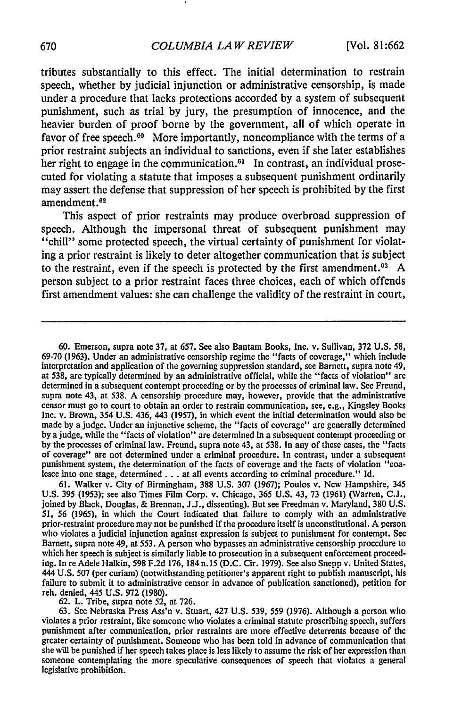tributes substantially to this effect. The initial determination to restrain speech, whether by judicial injunction or administrative censorship, is made under a procedure that lacks protections accorded by a system of subsequent punishment, such as trial by jury, the presumption of innocence, and the heavier burden of proof borne by the government, all of which operate in favor of free speech.<sup>60</sup> More importantly, noncompliance with the terms of a prior restraint subjects an individual to sanctions, even if she later establishes her right to engage in the communication. $61$  In contrast, an individual prosecuted for violating a statute that imposes a subsequent punishment ordinarily may assert the defense that suppression of her speech is prohibited by the first amendment.<sup>62</sup>

This aspect of prior restraints may produce overbroad suppression of speech. Although the impersonal threat of subsequent punishment may "chill" some protected speech, the virtual certainty of punishment for violating a prior restraint is likely to deter altogether communication that is subject to the restraint, even if the speech is protected by the first amendment.<sup>63</sup> A person subject to a prior restraint faces three choices, each of which offends first amendment values: she can challenge the validity of the restraint in court,

60. Emerson, supra note 37, at 657. See also Bantam Books, Inc. v. Sullivan, 372 U.S. 58, 69-70 (1963). Under an administrative censorship regime the "facts of coverage," which include interpretation and application of the governing suppression standard, see Barnett, supra note 49, at 538, are typically determined by an administrative official, while the "facts of violation" are determined in a subsequent contempt proceeding or by the processes of criminal law. See Freund, supra note 43, at 538. A censorship procedure may, however, provide that the administrative censor must go to court to obtain an order to restrain communication, see, e.g., Kingsley Books Inc. v. Brown, 354 U.S. 436, 443 (1957), in which event the initial determination would also be made by a judge. Under an injunctive scheme, the "facts of coverage" are generally determined by a judge, while the "facts of violation" are determined in a subsequent contempt proceeding or by the processes of criminal law. Freund, supra note 43, at 538. In any of these cases, the "facts of coverage" are not determined under a criminal procedure. In contrast, under a subsequent punishment system, the determination of the facts of coverage and the facts of violation "coalesce into one stage, determined **...** at all events according to criminal procedure." Id.

61. Walker v. City of Birmingham, 388 U.S. 307 (1967); Poulos v. New Hampshire, 345 U.S. 395 (1953); see also Times Film Corp. v. Chicago, 365 U.S. 43, 73 (1961) (Warren, C.J., joined by Black, Douglas, & Brennan, J.J., dissenting). But see Freedman v. Maryland, 380 U.S. 51, 56 (1965), in which the Court indicated that failure to comply with an administrative prior-restraint procedure may not be punished if the procedure itself is unconstitutional. A person who violates a judicial injunction against expression is subject to punishment for contempt. See Barnett, supra note 49, at 553. A person who bypasses an administrative censorship procedure to which her speech is subject is similarly liable to prosecution in a subsequent enforcement proceeding. In re Adele Halkin, 598 F.2d 176, 184 n.15 (D.C. Cir. 1979). See also Snepp v. United States, 444 U.S. 507 (per curiam) (notwithstanding petitioner's apparent right to publish manuscript, his failure to submit it to administrative censor in advance of publication sanctioned), petition for reh. denied, 445 U.S. 972 (1980).

62. L. Tribe, supra note 52, at 726.

63. See Nebraska Press Ass'n v. Stuart, 427 U.S. 539, *559* (1976). Although a person who violates a prior restraint, like someone who violates a criminal statute proscribing speech, suffers punishment after communication, prior restraints are more effective deterrents because of the greater certainty of punishment. Someone who has been told in advance of communication that she will be punished if her speech takes place is less likely to assume the risk of her expression than someone contemplating the more speculative consequences of speech that violates a general legislative prohibition.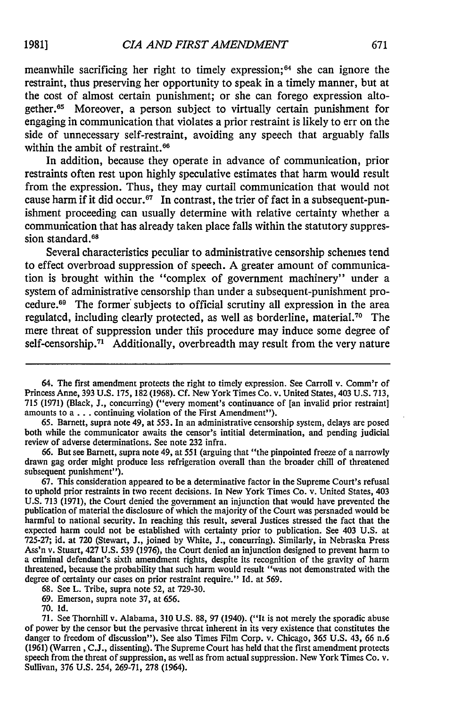meanwhile sacrificing her right to timely expression; 64 she can ignore the restraint, thus preserving her opportunity to speak in a timely manner, but at the cost of almost certain punishment; or she can forego expression altogether.65 Moreover, a person subject to virtually certain punishment for engaging in communication that violates a prior restraint is likely to err on the side of unnecessary self-restraint, avoiding any speech that arguably falls within the ambit of restraint.<sup>66</sup>

In addition, because they operate in advance of communication, prior restraints often rest upon highly speculative estimates that harm would result from the expression. Thus, they may curtail communication that would not cause harm if it did occur.<sup>67</sup> In contrast, the trier of fact in a subsequent-punishment proceeding can usually determine with relative certainty whether a communication that has already taken place falls within the statutory suppression standard.<sup>68</sup>

Several characteristics peculiar to administrative censorship schemes tend to effect overbroad suppression of speech. A greater amount of communication is brought within the "complex of government machinery" under a system of administrative censorship than under a subsequent-punishment procedure.<sup>69</sup> The former subjects to official scrutiny all expression in the area regulated, including clearly protected, as well as borderline, material.<sup>70</sup> The mere threat of suppression under this procedure may induce some degree of self-censorship.<sup>71</sup> Additionally, overbreadth may result from the very nature

65. Barnett, supra note 49, at 553. In an administrative censorship system, delays are posed both while the communicator awaits the censor's intitial determination, and pending judicial review of adverse determinations. See note 232 infra.

66. But see Barnett, supra note 49, at 551 (arguing that "the pinpointed freeze of a narrowly drawn gag order might produce less refrigeration overall than the broader chill of threatened subsequent punishment").

67. This consideration appeared to be a determinative factor in the Supreme Court's refusal to uphold prior restraints in two recent decisions. In New York Times Co. v. United States, 403 U.S. 713 (1971), the Court denied the government an injunction that would have prevented the publication of material the disclosure of which the majority of the Court was persuaded would be harmful to national security. In reaching this result, several Justices stressed the fact that the expected harm could not be established with certainty prior to publication. See 403 U.S. at 725-27; id. at **720** (Stewart, J., joined by White, J., concurring). Similarly, in Nebraska Press Ass'n v. Stuart, 427 U.S. 539 (1976), the Court denied an injunction designed to prevent harm to a criminal defendant's sixth amendment rights, despite its recognition of the gravity of harm threatened, because the probability that such harm would result "was not demonstrated with the degree of certainty our cases on prior restraint require." **Id.** at 569.

68. See L. Tribe, supra note *52,* at 729-30.

**70. Id.**

<sup>64.</sup> The first amendment protects the right to timely expression. See Carroll v. Comm'r of Princess Anne, 393 U.S. 175, 182 (1968). Cf. New York Times Co. v. United States, 403 U.S. 713, 715 (1971) (Black, J., concurring) ("every moment's continuance of [an invalid prior restraint] amounts to a **...** continuing violation of the First Amendment").

<sup>69.</sup> Emerson, supra note 37, at 656.

<sup>71.</sup> See Thornhill v. Alabama, **310** U.S. **88,** 97 (1940). ("It is not merely the sporadic abuse of power by the censor but the pervasive threat inherent in its very existence that constitutes the danger to freedom of discussion"). See also Times Film Corp. v. Chicago, 365 U.S. 43, 66 n.6 (1961) (Warren, C.J., dissenting). The Supreme Court has held that the first amendment protects speech from the threat of suppression, as well as from actual suppression. New York Times Co. v. Sullivan, 376 U.S. 254, 269-71, 278 (1964).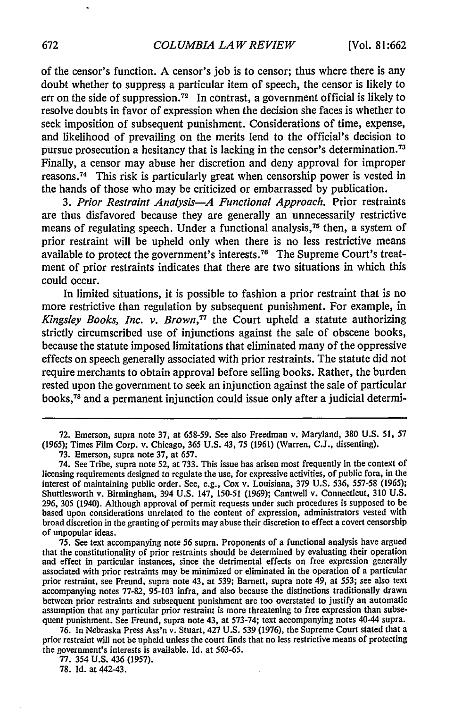of the censor's function. A censor's **job** is to censor; thus where there is any doubt whether to suppress a particular item of speech, the censor is likely to err on the side of suppression.<sup>72</sup> In contrast, a government official is likely to resolve doubts in favor of expression when the decision she faces is whether to seek imposition of subsequent punishment. Considerations of time, expense, and likelihood of prevailing on the merits lend to the official's decision to pursue prosecution a hesitancy that is lacking in the censor's determination.<sup>73</sup> Finally, a censor may abuse her discretion and deny approval for improper reasons. 74 This risk is particularly great when censorship power is vested in the hands of those who may be criticized or embarrassed **by** publication.

*3. Prior Restraint Analysis-A Functional Approach.* Prior restraints are thus disfavored because they are generally an unnecessarily restrictive means of regulating speech. Under a functional analysis,<sup>75</sup> then, a system of prior restraint will be upheld only when there is no less restrictive means available to protect the government's interests. 76 The Supreme Court's treatment of prior restraints indicates that there are two situations in which this could occur.

In limited situations, it is possible to fashion a prior restraint that is no more restrictive than regulation **by** subsequent punishment. For example, in *Kingsley Books, Inc. v. Brown,77* the Court upheld a statute authorizing strictly circumscribed use of injunctions against the sale of obscene books, because the statute imposed limitations that eliminated many of the oppressive effects on speech generally associated with prior restraints. The statute did not require merchants to obtain approval before selling books. Rather, the burden rested upon the government to seek an injunction against the sale of particular books, 78 and a permanent injunction could issue only after a judicial determi-

76. In Nebraska Press Ass'n v. Stuart, 427 U.S. 539 (1976), the Supreme Court stated that a prior restraint will not be upheld unless the court finds that no less restrictive means of protecting the government's interests is available. Id. at 563-65.

77. 354 U.S. 436 (1957).

78. Id. at 442-43.

<sup>72.</sup> Emerson, supra note 37, at 658-59. See also Freedman v. Maryland, 380 U.S. 51, **57** (1965); Times Film Corp. v. Chicago, 365 U.S. 43, 75 (1961) (Warren, C.J., dissenting).

<sup>73.</sup> Emerson, supra note 37, at 657.

<sup>74.</sup> See Tribe, supra note 52, at 733. This issue has arisen most frequently in the context of licensing requirements designed to regulate the use, for expressive activities, of public fora, in the interest of maintaining public order. See, e.g., Cox v. Louisiana, 379 U.S. 536, 557-58 (1965); Shuttlesworth v. Birmingham, 394 U.S. 147, 150-51 (1969); Cantwell v. Connecticut, 310 U.S. 296, 305 (1940). Although approval of permit requests under such procedures is supposed to be based upon considerations unrelated to the content of expression, administrators vested with broad discretion in the granting of permits may abuse their discretion to effect a covert censorship of unpopular ideas.

<sup>75.</sup> See text accompanying note 56 supra. Proponents of a functional analysis have argued and effect in particular instances, since the detrimental effects on free expression generally associated with prior restraints may be minimized or eliminated in the operation of a particular prior restraint, see Freund, supra note 43, at 539; Barnett, supra note 49, at 553; see also text accompanying notes 77-82, 95-103 infra, and also because the distinctions traditionally drawn between prior restraints and subsequent punishment are too overstated to justify an automatic assumption that any particular prior restraint is more threatening to free expression than subsequent punishment. See Freund, supra note 43, at 573-74; text accompanying notes 40-44 supra.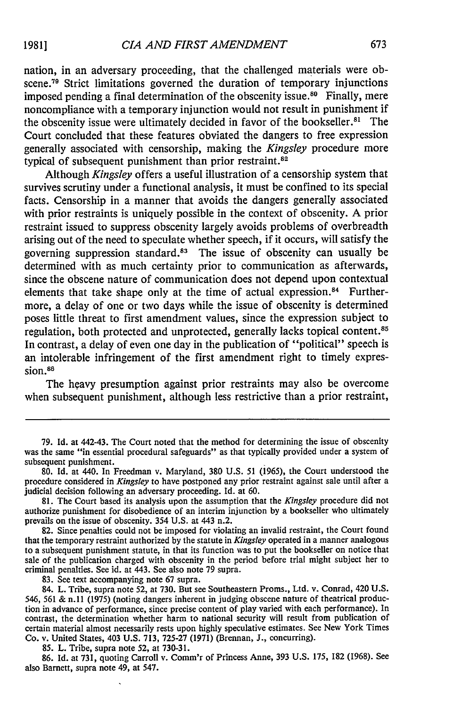nation, in an adversary proceeding, that the challenged materials were obscene.<sup>79</sup> Strict limitations governed the duration of temporary injunctions imposed pending a final determination of the obscenity issue.<sup>80</sup> Finally, mere noncompliance with a temporary injunction would not result in punishment if the obscenity issue were ultimately decided in favor of the bookseller.<sup>81</sup> The Court concluded that these features obviated the dangers to free expression generally associated with censorship, making the *Kingsley* procedure more typical of subsequent punishment than prior restraint.<sup>82</sup>

Although *Kingsley* offers a useful illustration of a censorship system that survives scrutiny under a functional analysis, it must be confined to its special facts. Censorship in a manner that avoids the dangers generally associated with prior restraints is uniquely possible in the context of obscenity. A prior restraint issued to suppress obscenity largely avoids problems of overbreadth arising out of the need to speculate whether speech, if it occurs, will satisfy the governing suppression standard. 83 The issue of obscenity can usually be determined with as much certainty prior to communication as afterwards, since the obscene nature of communication does not depend upon contextual elements that take shape only at the time of actual expression.<sup>84</sup> Furthermore, a delay of one or two days while the issue of obscenity is determined poses little threat to first amendment values, since the expression subject to regulation, both protected and unprotected, generally lacks topical content.<sup>85</sup> In contrast, a delay of even one day in the publication of "political" speech is an intolerable infringement of the first amendment right to timely expression.<sup>86</sup>

The heavy presumption against prior restraints may also be overcome when subsequent punishment, although less restrictive than a prior restraint,

85. L. Tribe, supra note 52, at 730-31.

86. Id. at 731, quoting Carroll v. Comm'r of Princess Anne, 393 U.S. 175, 182 (1968). See also Barnett, supra note 49, at 547.

<sup>79.</sup> Id. at 442-43. The Court noted that the method for determining the issue of obscenity was the same "in essential procedural safeguards" as that typically provided under a system of subsequent punishment.

<sup>80.</sup> Id. at 440. In Freedman v. Maryland, 380 U.S. 51 (1965), the Court understood the procedure considered in *Kingsley* to have postponed any prior restraint against sale until after a judicial decision following an adversary proceeding. Id. at 60.

<sup>81.</sup> The Court based its analysis upon the assumption that the *Kingsley* procedure did not authorize punishment for disobedience of an interim injunction by a bookseller who ultimately prevails on the issue of obscenity. 354 **U.S.** at 443 n.2.

<sup>82.</sup> Since penalties could not be imposed for violating an invalid restraint, the Court found that the temporary restraint authorized by the statute in *Kingsley* operated in a manner analogous to a subsequent punishment statute, in that its function was to put the bookseller on notice that sale of the publication charged with obscenity in the period before trial might subject her to criminal penalties. See id. at 443. See also note 79 supra.

<sup>83.</sup> See text accompanying note 67 supra.

<sup>84.</sup> L. Tribe, supra note 52, at 730. But see Southeastern Proms., Ltd. v. Conrad, 420 U.S. 546, 561 & n.ll (1975) (noting dangers inherent in judging obscene nature of theatrical production in advance of performance, since precise content of play varied with each performance). In contrast, the determination whether harm to national security will result from publication of certain material almost necessarily rests upon highly speculative estimates. See New York Times Co. v. United States, 403 U.S. 713, 725-27 (1971) (Brennan, J., concurring).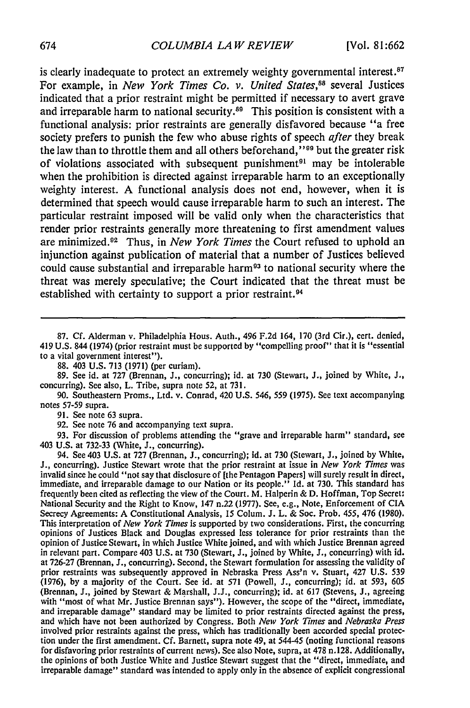is clearly inadequate to protect an extremely weighty governmental interest. $87$ For example, in *New York Times Co. v. United States,8s* several Justices indicated that a prior restraint might be permitted if necessary to avert grave and irreparable harm to national security.<sup>89</sup> This position is consistent with a functional analysis: prior restraints are generally disfavored because "a free society prefers to punish the few who abuse rights of speech *after* they break the law than to throttle them and all others beforehand,"<sup>99</sup> but the greater risk of violations associated with subsequent punishment<sup>91</sup> may be intolerable when the prohibition is directed against irreparable harm to an exceptionally weighty interest. A functional analysis does not end, however, when it is determined that speech would cause irreparable harm to such an interest. The particular restraint imposed will be valid only when the characteristics that render prior restraints generally more threatening to first amendment values are minimized.92 Thus, in *New York Times* the Court refused to uphold an injunction against publication of material that a number of Justices believed could cause substantial and irreparable harm<sup>93</sup> to national security where the threat was merely speculative; the Court indicated that the threat must be established with certainty to support a prior restraint. <sup>94</sup>

**88.** 403 U.S. **713** (1971) (per curiam).

89. See id. at 727 (Brennan, J., concurring); id. at 730 (Stewart, J., joined by White, **J.,** concurring). See also, L. Tribe, supra note 52, at 731.

90. Southeastern Proms., Ltd. v. Conrad, 420 U.S. 546, *559* (1975). See text accompanying notes 57-59 supra.

91. See note 63 supra.

92. See note **76** and accompanying text supra.

93. For discussion of problems attending the "grave and irreparable harm" standard, see 403 U.S. at 732-33 (White, J., concurring).

94. See 403 U.S. at **727** (Brennan, J., concurring); id. at **730** (Stewart, **J.,** joined by White, J., concurring). Justice Stewart wrote that the prior restraint at issue in *New York Times* was invalid since he could "not say that disclosure of [the Pentagon Papers] will surely result in direct, immediate, and irreparable damage to our Nation or its people." Id. at 730. This standard has frequently been cited as reflecting the view of the Court. M. Halperin & D. Hoffman, Top Secret: National Security and the Right to Know, 147 n.22 (1977). See, e.g., Note, Enforcement of CIA Secrecy Agreements: A Constitutional Analysis, 15 Colum. **J.** L. & Soc. Prob. 455, 476 (1980). This interpretation of *New York Times* is supported by two considerations. First, the concurring opinions of Justices Black and Douglas expressed less tolerance for prior restraints than the opinion of Justice Stewart, in which Justice White joined, and with which Justice Brennan agreed in relevant part. Compare 403 U.S. at **730** (Stewart, **J.,** joined by White, **J.,** concurring) with id. at 726-27 (Brennan, **J.,** concurring). Second, the Stewart formulation for assessing the validity of prior restraints was subsequently approved in Nebraska Press Ass'n v. Stuart, 427 U.S. 539 (1976), by a majority of the Court. See id. at 571 (Powell, **J.,** concurring); id. at 593, 605 (Brennan, **J.,** joined by Stewart & Marshall, J.J., concurring); id. at **617** (Stevens, **J.,** agreeing with "most of what Mr. Justice Brennan says"). However, the scope of the "direct, immediate, and irreparable damage" standard may be limited to prior restraints directed against the press, and which have not been authorized by Congress. Both *New York Times* and *Nebraska Press* involved prior restraints against the press, which has traditionally been accorded special protection under the first amendment. Cf. Barnett, supra note 49, at 544-45 (noting functional reasons for disfavoring prior restraints of current news). See also Note, supra, at 478 n. 128. Additionally, the opinions of both Justice White and Justice Stewart suggest that the "direct, immediate, and irreparable damage" standard was intended to apply only in the absence of explicit congressional

<sup>87.</sup> Cf. Alderman v. Philadelphia Hous. Auth., 496 F.2d 164, 170 (3rd Cir.), cert. denied, 419 U.S. 844 (1974) (prior restraint must be supported by "compelling proof" that it is "essential to a vital government interest").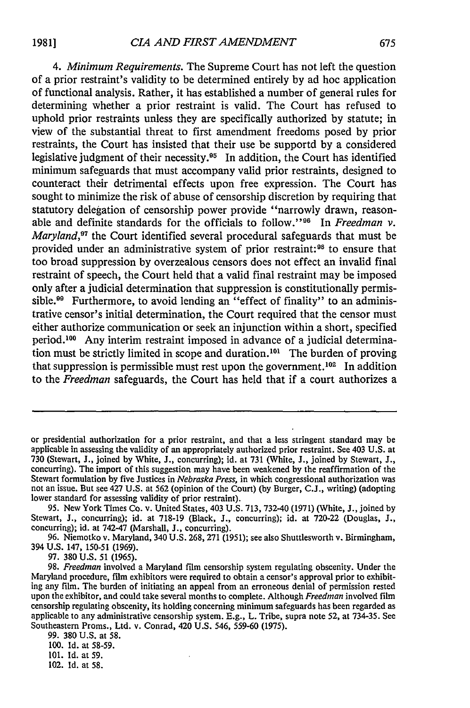*4. Minimum Requirements.* The Supreme Court has not left the question of a prior restraint's validity to be determined entirely by ad hoc application of functional analysis. Rather, it has established a number of general rules for determining whether a prior restraint is valid. The Court has refused to uphold prior restraints unless they are specifically authorized by statute; in view of the substantial threat to first amendment freedoms posed by prior restraints, the Court has insisted that their use be supportd by a considered legislative judgment of their necessity.<sup>95</sup> In addition, the Court has identified minimum safeguards that must accompany valid prior restraints, designed to counteract their detrimental effects upon free expression. The Court has sought to minimize the risk of abuse of censorship discretion by requiring that statutory delegation of censorship power provide "narrowly drawn, reasonable and definite standards for the officials to follow."<sup>96</sup> In *Freedman v*. *Maryland*,<sup>97</sup> the Court identified several procedural safeguards that must be provided under an administrative system of prior restraint: 98 to ensure that too broad suppression by overzealous censors does not effect an invalid final restraint of speech, the Court held that a valid final restraint may be imposed only after a judicial determination that suppression is constitutionally permissible.<sup>99</sup> Furthermore, to avoid lending an "effect of finality" to an administrative censor's initial determination, the Court required that the censor must either authorize communication or seek an injunction within a short, specified period.<sup>100</sup> Any interim restraint imposed in advance of a judicial determination must be strictly limited in scope and duration.<sup>101</sup> The burden of proving that suppression is permissible must rest upon the government.<sup>102</sup> In addition to the *Freedman* safeguards, the Court has held that if a court authorizes a

97. 380 U.S. 51 (1965).

or presidential authorization for a prior restraint, and that a less stringent standard may be applicable in assessing the validity of an appropriately authorized prior restraint. See 403 U.S. at 730 (Stewart, J., joined by White, **J.,** concurring); id. at 731 (White, **J.,** joined by Stewart, **J.,** concurring). The import of this suggestion may have been weakened by the reaffirmation of the Stewart formulation by five Justices in *Nebraska Press,* in which congressional authorization was not an issue. But see 427 U.S. at 562 (opinion of the Court) (by Burger, C.J., writing) (adopting lower standard for assessing validity of prior restraint).

<sup>95.</sup> New York Times Co. v. United States, 403 U.S. 713, 732-40 (1971) (White, J., joined by Stewart, **J.,** concurring); id. at 718-19 (Black, J., concurring); id. at 720-22 (Douglas, J., concurring); id. at 742-47 (Marshall, **J.,** concurring).

<sup>96.</sup> Niemotko v. Maryland, 340 U.S. 268, 271 (1951); see also Shuttlesworth v. Birmingham, 394 U.S. 147, 150-51 (1969).

<sup>98.</sup> *Freedman* involved a Maryland film censorship system regulating obscenity. Under the Maryland procedure, film exhibitors were required to obtain a censor's approval prior to exhibiting any film. The burden of initiating an appeal from an erroneous denial of permission rested upon the exhibitor, and could take several months to complete. Although *Freedman* involved film censorship regulating obscenity, its holding concerning minimum safeguards has been regarded as applicable to any administrative censorship system. E.g., L. Tribe, supra note 52, at 734-35. See Southeastern Proms., Ltd. v. Conrad, 420 U.S. 546, 559-60 (1975).

<sup>99. 380</sup> U.S. at 58.

<sup>100.</sup> Id. at 58-59.

<sup>101.</sup> Id. at 59.

<sup>102.</sup> Id. at 58.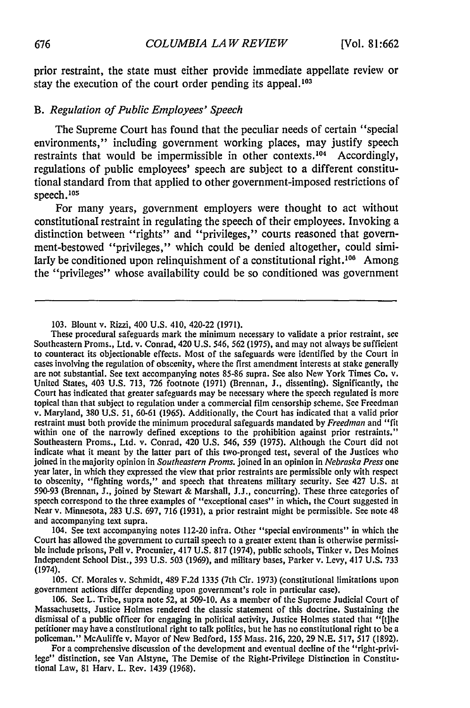prior restraint, the state must either provide immediate appellate review or stay the execution of the court order pending its appeal.<sup>103</sup>

#### *B. Regulation of Public Employees' Speech*

The Supreme Court has found that the peculiar needs of certain "special environments," including government working places, may justify speech restraints that would be impermissible in other contexts. 104 Accordingly, regulations of public employees' speech are subject to a different constitutional standard from that applied to other government-imposed restrictions of speech.<sup>105</sup>

For many years, government employers were thought to act without constitutional restraint in regulating the speech of their employees. Invoking a distinction between "rights" and "privileges," courts reasoned that government-bestowed "privileges," which could be denied altogether, could similarly be conditioned upon relinquishment of a constitutional right.  $106$  Among the "privileges" whose availability could be so conditioned was government

104. See text accompanying notes 112-20 infra. Other "special environments" in which the Court has allowed the government to curtail speech to a greater extent than is otherwise permissible include prisons, Pell v. Procunier, 417 U.S. 817 (1974), public schools, Tinker v. Des Moines Independent School Dist., 393 U.S. 503 (1969), and military bases, Parker v. Levy, 417 U.S. 733 (1974).

105. Cf. Morales v. Schmidt, 489 F.2d 1335 (7th Cir. 1973) (constitutional limitations upon government actions differ depending upon government's role in particular case).

For a comprehensive discussion of the development and eventual decline of the "right-privilege" distinction, see Van Alstyne, The Demise of the Right-Privilege Distinction in Constitutional Law, 81 Harv. L. Rev. 1439 (1968).

**<sup>103.</sup>** Blount v. Rizzi, 400 **U.S.** 410, 420-22 **(1971).**

These procedural safeguards mark the minimum necessary to validate a prior restraint, see Southeastern Proms., Ltd. v. Conrad, 420 U.S. 546, 562 (1975), and may not always be sufficient to counteract its objectionable effects. Most of the safeguards were identified by the Court in cases involving the regulation of obscenity, where the first amendment interests at stake generally are not substantial. See t United States, 403 U.S. 713, 726 footnote (1971) (Brennan, J., dissenting). Significantly, the Court has indicated that greater safeguards may be necessary where the speech regulated is more topical than that subject to regulation under a commercial film censorship scheme. See Freedman v. Maryland, 380 U.S. 51, 60-61 (1965). Additionally, the Court has indicated that a valid prior restraint must both provide the minimum procedural safeguards mandated by *Freedman* and "fit within one of the narrowly defined exceptions to the prohibition against prior restraints." Southeastern Proms., Ltd. v. Conrad, 420 U.S. 546, 559 (1975). Although the Court did not indicate what it meant by the latter part of this two-pronged test, several of the Justices who joined in the majority opinion in *Southeastern Proms.* joined in an opinion in *Nebraska Press* one year later, in which they expressed the view that prior restraints are permissible only with respect to obscenity, "fighting words," and speech that threatens military security. See 427 **U.S.** at 590-93 (Brennan, **J.,** joined by Stewart & Marshall, J.J., concurring). These three categories of speech correspond to the three examples of "exceptional cases" in which, the Court suggested in Near v. Minnesota, 283 U.S. 697, 716 (1931), a prior restraint might be permissible. See note 48 and accompanying text supra.

<sup>106.</sup> See L. Tribe, supra note 52, at 509-10. As a member of the Supreme Judicial Court of Massachusetts, Justice Holmes rendered the classic statement of this doctrine. Sustaining the dismissal of a public officer for engaging in political activity, Justice Holmes stated that "[t]he petitioner may have a constitutional right to talk politics, but he has no constitutional right to be a policeman." McAuliffe v. Mayor of New Bedford, 155 Mass. 216, 220, 29 N.E. 517, 517 (1892).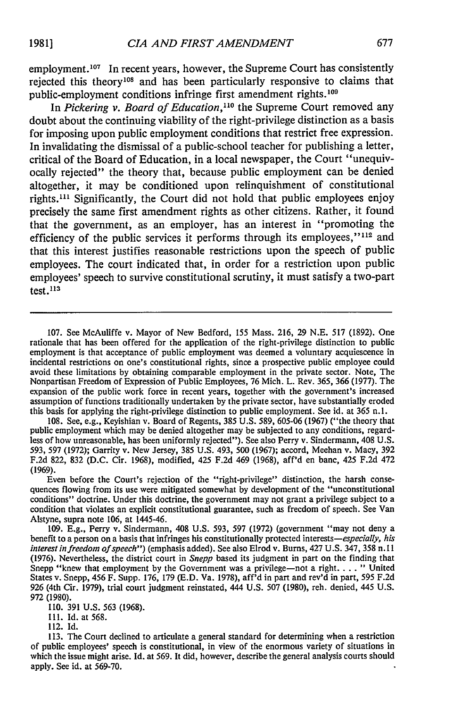employment.<sup>107</sup> In recent years, however, the Supreme Court has consistently rejected this theory<sup>108</sup> and has been particularly responsive to claims that public-employment conditions infringe first amendment rights.<sup>109</sup>

In *Pickering v. Board of Education*,<sup>110</sup> the Supreme Court removed any doubt about the continuing viability of the right-privilege distinction as a basis for imposing upon public employment conditions that restrict free expression. In invalidating the dismissal of a public-school teacher for publishing a letter, critical of the Board of Education, in a local newspaper, the Court "unequivocally rejected" the theory that, because public employment can be denied altogether, it may be conditioned upon relinquishment of constitutional rights.<sup>111</sup> Significantly, the Court did not hold that public employees enjoy precisely the same first amendment rights as other citizens. Rather, it found that the government, as an employer, has an interest in "promoting the efficiency of the public services it performs through its employees," $112$  and that this interest justifies reasonable restrictions upon the speech of public employees. The court indicated that, in order for a restriction upon public employees' speech to survive constitutional scrutiny, it must satisfy a two-part test.1<sup>3</sup>

**107.** See McAuliffe v. Mayor of New Bedford, **155** Mass. **216, 29 N.E. 517 (1892).** One rationale that has been offered for the application of the right-privilege distinction to public employment is that acceptance of public employment was deemed a voluntary acquiescence in incidental restrictions on one's constitutional rights, since a prospective public employee could avoid these limitations **by** obtaining comparable employment in the private sector. Note, The Nonpartisan Freedom of Expression of Public Employees, **76** Mich. L. Rev. **365, 366 (1977).** The expansion of the public work force in recent years, together with the government's increased assumption of functions traditionally undertaken **by** the private sector, have substantially eroded this basis for applying the right-privilege distinction to public employment. See id. at **365** n.l.

**108.** See, e.g., Keyishian v. Board of Regents, **385 U.S. 589, 605-06 (1967)** ("the theory that public employment which may be denied altogether may be subjected to any conditions, regardless of how unreasonable, has been uniformly rejected"). See also Perry v. Sindermann, 408 **U.S. 593, 597 (1972);** Garrity v. New Jersey, **385 U.S.** 493, **500 (1967);** accord, Meehan v. Macy, **392 F.2d 822, 832 (D.C.** Cir. **1968),** modified, 425 **F.2d** 469 **(1968),** aff'd en banc, 425 **F.2d** 472 **(1969).**

Even before the Court's rejection of the "right-privilege" distinction, the harsh conse quences flowing from its use were mitigated somewhat **by** development of the "unconstitutional conditions" doctrine. Under this doctrine, the government may not grant a privilege subject to a condition that violates an explicit constitutional guarantee, such as freedom of speech. See Van Alstyne, supra note **106,** at 1445-46.

**109. E.g.,** Perry v. Sindermann, 408 **U.S. 593, 597 (1972)** (government "may not deny a benefit to a person on a basis that infringes his constitutionally protected *interests-especially, his interest in freedom of speech")* (emphasis added). See also Elrod v. Burns, 427 **U.S.** 347, **358** n. **11 (1976).** Nevertheless, the district court in *Snepp* based its judgment in part on the finding that Snepp "knew that employment by the Government was a privilege-not a right. . . . " United States v. Snepp, 456 F. Supp. **176, 179 (E.D.** Va. **1978),** aff'd in part and rev'd in part, **595 F.2d 926** (4th Cir. **1979),** trial court judgment reinstated, 444 **U.S. 507 (1980),** reh. denied, 445 **U.S. 972 (1980).**

**110. 391 U.S. 563 (1968).**

**I11. Id.** at **568.**

112. **Id.**

**113.** The Court declined to articulate a general standard for determining when a restriction of public employees' speech is constitutional, in view of the enormous variety of situations in which the issue might arise. Id. at **569.** It did, however, describe the general analysis courts should apply. See id. at **569-70.**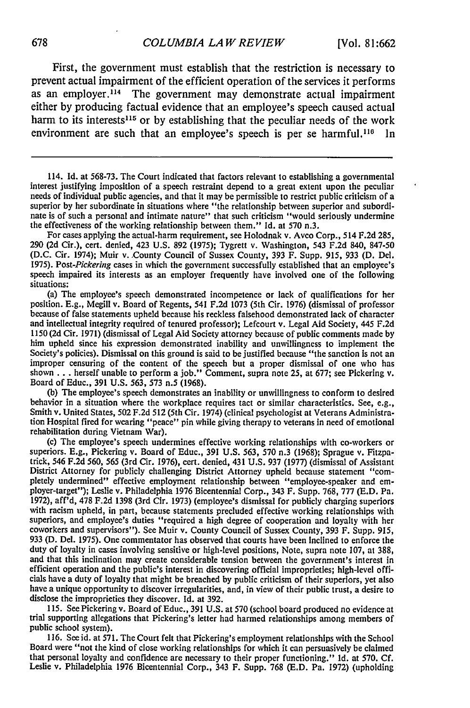First, the government must establish that the restriction is necessary to prevent actual impairment of the efficient operation of the services it performs as an employer.<sup>114</sup> The government may demonstrate actual impairment either by producing factual evidence that an employee's speech caused actual harm to its interests<sup>115</sup> or by establishing that the peculiar needs of the work environment are such that an employee's speech is per se harmful.<sup>116</sup> In

114. Id. at 568-73. The Court indicated that factors relevant to establishing a governmental interest justifying imposition of a speech restraint depend to a great extent upon the peculiar needs of individual public agenci nate is of such a personal and intimate nature" that such criticism "would seriously undermine the effectiveness of the working relationship between them." Id. at 570 n.3.

For cases applying the actual-harm requirement, see Holodnak v. Avco Corp., 514 F.2d 285, 290 (2d Cir.), cert. denied, 423 U.S. 892 (1975); Tygrett v. Washington, 543 F.2d 840, 847-50 (D.C. Cir. 1974); Muir v..County Council of Sussex County, 393 F. Supp. 915, 933 (D. Del. 1975). *Post-Pickering* cases in which the government successfully established that an employee's speech impaired its interests as an employer frequently have involved one of the following situations:

(a) The employee's speech demonstrated incompetence or lack of qualifications for her position. E.g., Megill v. Board of Regents, 541 F.2d 1073 (5th Cir. 1976) (dismissal of professor because of false statements upheld because his reckless falsehood demonstrated lack of character and intellectual integrity required of tenured professor); Lefcourt v. Legal Aid Society, 445 F.2d 1150 (2d Cir. 1971) (dismissal of Legal Aid Society attorney because of public comments made by him upheld since his expression demonstrated inability and unwillingness to implement the Society's policies). Dismissal on this ground is said to be justified because "the sanction is not an improper censuring of the content of the speech but a proper dismissal of one who has shown . . . herself unable to perform a job." Comment, supra note 25, at 677; see Pickering v.<br>Board of Educ., 391 U.S. 563, 573 n.5 (1968). Board of Educ., 391 U.S. 563, 573 n.5 (1968).<br>(b) The employee's speech demonstrates an inability or unwillingness to conform to desired

behavior in a situation where the workplace requires tact or similar characteristics. See, e.g., Smith v. United States, 502 F.2d 512 (5th Cir. 1974) (clinical psychologist at Veterans Administration Hospital fired for wearing "peace" pin while giving therapy to veterans in need of emotional rehabilitation during Vietnam War).

(c) The employee's speech undermines effective working relationships with co-workers or superiors. E.g., Pickering v. Board of Educ., 391 U.S. 563, 570 n.3 (1968); Sprague v. Fitzpatrick, 546 F.2d 560, 565 (3rd Cir. 1976), District Attorney for publicly challenging District Attorney upheld because statement "completely undermined" effective employment relationship between "employee-speaker and em-<br>ployer-target"); Leslie v. Philadelphia 1976 Bicentennial Corp., 343 F. Supp. 768, 777 (E.D. Pa. 1972), aff'd, 478 F.2d 1398 (3rd Cir. 1973) (employee's dismissal for publicly charging superiors with racism upheld, in part, because statements precluded effective working relationships with superiors, and employee's duties "required a high degree of cooperation and loyalty with her coworkers and supervisors"). See Muir v. County Council of Sussex County, 393 F. Supp. 915, 933 (D. Del. 1975). One commentator has observed that courts have been inclined to enforce the duty of loyalty in cases involving sensitive or high-level positions, Note, supra note 107, at 388, and that this inclination may create considerable tension between the government's interest in efficient operation and the public's interest in discovering official improprieties; high-level officials have a duty of loyalty that might be breached by public criticism of their superiors, yet also have a unique opportunity to discover irregularities, and, in view of their public trust, a desire to disclose the improprieties they discover. Id. at 392.

115. See Pickering v. Board of Educ., 391 U.S. at 570 (school board produced no evidence at trial supporting allegations that Pickering's letter had harmed relationships among members of public school system).

116. See id. at 571. The Court felt that Pickering's employment relationships with the School Board were "not the kind of close working relationships for which it can persuasively be claimed that personal loyalty and confidence are necessary to their proper functioning." Id. at 570. Cf. Leslie v. Philadelphia 1976 Bicentennial Corp., 343 F. Supp. 768 (E.D. Pa. 1972) (upholding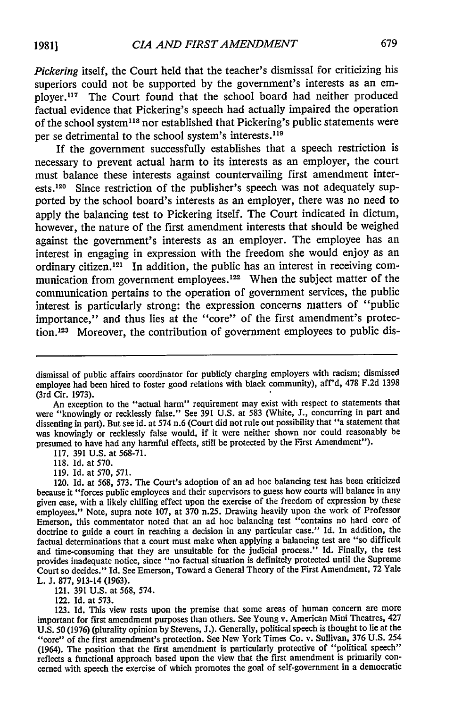*Pickering* itself, the Court held that the teacher's dismissal for criticizing his superiors could not be supported by the government's interests as an employer.<sup>117</sup> The Court found that the school board had neither produced factual evidence that Pickering's speech had actually impaired the operation of the school system<sup>118</sup> nor established that Pickering's public statements were per se detrimental to the school system's interests.<sup>119</sup>

If the government successfully establishes that a speech restriction is necessary to prevent actual harm to its interests as an employer, the court must balance these interests against countervailing first amendment interests.<sup>120</sup> Since restriction of the publisher's speech was not adequately supported by the school board's interests as an employer, there was no need to apply the balancing test to Pickering itself. The Court indicated in dictum, however, the nature of the first amendment interests that should be weighed against the government's interests as an employer. The employee has an interest in engaging in expression with the freedom she would enjoy as an ordinary citizen.<sup>121</sup> In addition, the public has an interest in receiving communication from government employees.<sup>122</sup> When the subject matter of the communication pertains to the operation of government services, the public interest is particularly strong: the expression concerns matters of "public importance," and thus lies at the "core" of the first amendment's protection.<sup>123</sup> Moreover, the contribution of government employees to public dis-

117. 391 U.S. at 568-71.

118. Id. at 570.

121. 391 U.S. at 568, 574.

122. Id. at 573.

dismissal of public affairs coordinator for publicly charging employers with racism; dismissed employee had been hired to foster good relations with black community), aff'd, 478 F.2d 1398 (3rd Cir. 1973).

An exception to the "actual harm" requirement may exist with respect to statements that were "knowingly or recklessly false." See 391 U.S. at 583 (White, J., concurring in part and dissenting in part). But see id. at 574 n.6 (Court did not rule out possibility that "a statement that was knowingly or recklessly false would, if it were neither shown nor could reasonably be presumed to have had any harmful effects, still be protected by the First Amendment").

<sup>119.</sup> Id. at 570, 571.

<sup>120.</sup> Id. at 568, 573. The Court's adoption of an ad hoc balancing test has been criticized because it "forces public employees and their supervisors to guess how courts will balance in any given case, with a likely chilling effect upon the exercise of the freedom of expression by these employees." Note, supra note 107, at 370 n.25. Drawing heavily upon the work of Professor Emerson, this commentator noted that an ad hoc balancing test "contains no hard core of doctrine to guide a court in reaching a decision in any particular case." Id. In addition, the factual determinations that a court must make when applying a balancing test are "so difficult and time-consuming that they are unsuitable for the judicial process." Id. Finally, the test provides inadequate notice, since "no factual situation is definitely protected until the Supreme Court so decides." Id. See Emerson, Toward a General Theory of the First Amendment, 72 Yale L. **J.** 877, 913-14 (1963).

<sup>123.</sup> Id. This view rests upon the premise that some areas of human concern are more important for first amendment purposes than others. See Young v. American Mini Theatres, 427 **U.S. 50 (1976)** (plurality opinion **by** Stevens, **J.).** Generally, political speech is thought to lie at the "core" of the first amendment's protection. See New York Times Co. v. Sullivan, **376 U.S.** 254 (1964). The position that the first amendment is particularly protective of "political speech" reflects a functional approach based upon the view that the first amendment is primarily concerned with speech the exercise of which promotes the goal of self-government in a democratic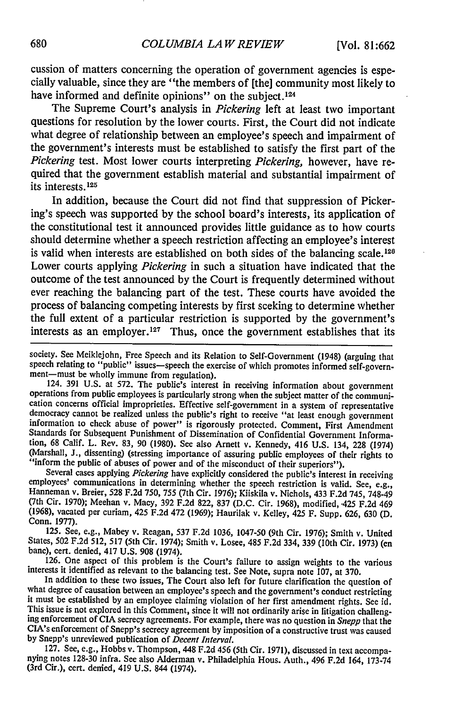cussion of matters concerning the operation of government agencies is especially valuable, since they are "the members of [the] community most likely to have informed and definite opinions" on the subject.<sup>124</sup>

The Supreme Court's analysis in *Pickering* left at least two important questions for resolution **by** the lower courts. First, the Court did not indicate what degree of relationship between an employee's speech and impairment of the government's interests must be established to satisfy the first part of the *Pickering* test. Most lower courts interpreting *Pickering,* however, have required that the government establish material and substantial impairment of its interests.1<sup>25</sup>

In addition, because the Court did not find that suppression of Pickering's speech was supported **by** the school board's interests, its application of the constitutional test it announced provides little guidance as to how courts should determine whether a speech restriction affecting an employee's interest is valid when interests are established on both sides of the balancing scale.<sup>126</sup> Lower courts applying *Pickering* in such a situation have indicated that the outcome of the test announced **by** the Court is frequently determined without ever reaching the balancing part of the test. These courts have avoided the process of balancing competing interests **by** first seeking to determine whether the full extent of a particular restriction is supported by the government's interests as an employer.<sup>127</sup> Thus, once the government establishes that its

society. See Meiklejohn, Free Speech and its Relation to Self-Government (1948) (arguing that speech relating to "public" issues—speech the exercise of which promotes informed self-govern-<br>ment—must be wholly immune from regulation).

124. 391 U.S. at 572. The public's interest in receiving information about government operations from public employees is particularly strong when the subject matter of the communidemocracy cannot be realized unless the public's right to receive "at least enough government information to check abuse of power" is rigorously protected. Comment, First Amendment Standards for Subsequent Punishment of Dissemination of Confidential Government Information, 68 Calif. L. Rev. 83, 90 (1980). See also Arnett v. Kennedy, 416 U.S. 134, 228 (1974) (Marshall, **J.,** dissenting) (stressing importance of assuring public employees of their rights to

"inform the public of abuses of power and of the misconduct of their superiors").<br>Several cases applying *Pickering* have explicitly considered the public's interest in receiving<br>employees' communications in determining wh Hanneman v. Breier, 528 F.2d 750, 755 (7th Cir. 1976); Kiiskila v. Nichols, 433 F.2d 745, 748-49 (7th Cir. 1970); Meehan v. Macy, 392 F.2d 822, 837 (D.C. Cir. 1968), modified, '425 F.2d 469 (1968), vacated per curiam, 425 F.2d 472 (1969); Haurilak v. Kelley, 425 F. Supp. 626, 630 (D. Conn. 1977).

125. See, e.g., Mabey v. Reagan, 537 F.2d 1036, 1047-50 (9th Cir. 1976); Smith v. United States, 502 F.2d 512, 517 (5th Cir. 1974); Smith v. Losee, 485 F.2d 334, 339 (10th Cir. 1973) (en banc), cert. denied, 417 U.S. 908 (1974).<br>126. One aspect of this problem is the Court's failure to assign weights to the various

interests it identified as relevant to the balancing test. See Note, supra note 107, at 370.

In addition to these two issues, The Court also left for future clarification the question of what degree of causation between an employee's speech and the government's conduct restricting it must be established by an employee claiming violation of her first amendment rights. See id. This issue is not explored in this Comment, since it will not ordinarily arise in litigation challeng- ing enforcement of CIA secrecy agreements. For example, there was no question in *Snepp* that the CIA's enforcement of Snepp's secrecy agreement by imposition of a constructive trust was caused by Snepp's unreviewed publication of *Decent Interval.*

127. See, e.g., Hobbs v. Thompson, 448 F.2d 456 (5th Cir. 1971), discussed in text accompa- nying notes 128-30 infra. See also Alderman v. Philadelphia Hous. Auth., 496 F.2d 164, 173-74 (3rd Cir.), cert. denied, 419 U.S. 844 (1974).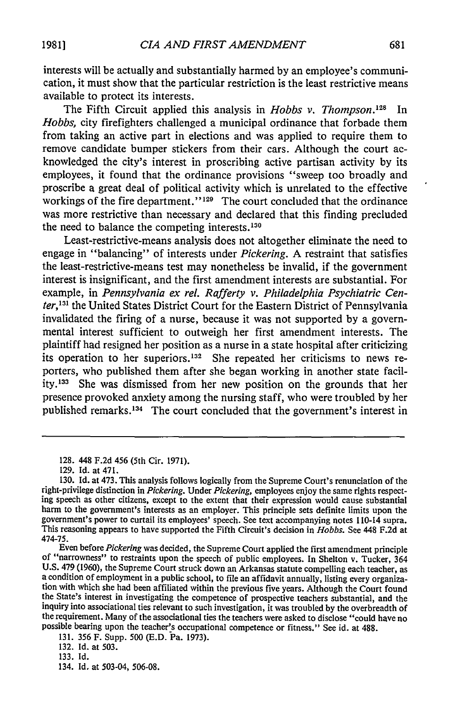interests will be actually and substantially harmed by an employee's communication, it must show that the particular restriction is the least restrictive means available to protect its interests.

The Fifth Circuit applied this analysis in *Hobbs v. Thompson*.<sup>128</sup> In *Hobbs,* city firefighters challenged a municipal ordinance that forbade them from taking an active part in elections and was applied to require them to remove candidate bumper stickers from their cars. Although the court acknowledged the city's interest in proscribing active partisan activity by its employees, it found that the ordinance provisions "sweep too broadly and proscribe a great deal of political activity which is unrelated to the effective workings of the fire department." $129$  The court concluded that the ordinance was more restrictive than necessary and declared that this finding precluded the need to balance the competing interests. $130$ 

Least-restrictive-means analysis does not altogether eliminate the need to engage in "balancing" of interests under *Pickering.* A restraint that satisfies the least-restrictive-means test may nonetheless be invalid, if the government interest is insignificant, and the first amendment interests are substantial. For example, in *Pennsylvania ex rel. Rafferty v. Philadelphia Psychiatric Center,<sup>131</sup>* the United States District Court for the Eastern District of Pennsylvania invalidated the firing of a nurse, because it was not supported by a governmental interest sufficient to outweigh her first amendment interests. The plaintiff had resigned her position as a nurse in a state hospital after criticizing its operation to her superiors. 132 She repeated her criticisms to news reporters, who published them after she began working in another state facility. 33 She was dismissed from her new position on the grounds that her presence provoked anxiety among the nursing staff, who were troubled **by** her published remarks.<sup>134</sup> The court concluded that the government's interest in

<sup>128. 448</sup> F.2d 456 (5th Cir. 1971).

<sup>129.</sup> Id. at 471.

<sup>130.</sup> Id. at 473. This analysis follows logically from the Supreme Court's renunciation of the right-privilege distinction in *Pickering.* Under *Pickering,* employees enjoy the same rights respect- ing speech as other citizens, except to the extent that their expression would cause substantial harm to the government's interests as an employer. This principle sets definite limits upon the government's power to curtail its employees' speech. See text accompanying notes 110-14 supra. This reasoning appears to have supported the Fifth Circuit's decision in *Hobbs.* See 448 F.2d at 474-75.

Even before *Pickering* was decided, the Supreme Court applied the first amendment principle of "narrowness" to restraints upon the speech of public employees. In Shelton v. Tucker, 364 U.S. 479 (1960), the Supreme Court struck down an Arkansas statute compelling each teacher, as a condition of employment in a public school, to file an affidavit annually, listing every organization with which she had been the State's interest in investigating the competence of prospective teachers substantial, and the inquiry into associational ties relevant to such investigation, it was troubled by the overbreadth of the requirement. Many of the associational ties the teachers were asked to disclose "could have no possible bearing upon the teacher's occupational competence or fitness." See id. at 488.

<sup>131. 356</sup> F. Supp. 500 (E.D. Pa. 1973).

<sup>132.</sup> Id. at 503.

<sup>133.</sup> Id.

<sup>134.</sup> Id. at 503-04, 506-08.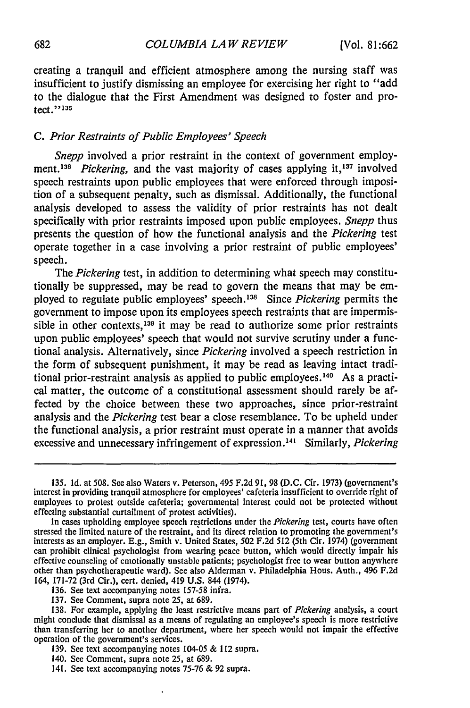creating a tranquil and efficient atmosphere among the nursing staff was insufficient to justify dismissing an employee for exercising her right to "add to the dialogue that the First Amendment was designed to foster and protect." **<sup>13</sup> .**

#### *C. Prior Restraints of Public Employees' Speech*

*Snepp* involved a prior restraint in the context of government employment.<sup>136</sup> Pickering, and the vast majority of cases applying it,<sup>137</sup> involved speech restraints upon public employees that were enforced through imposition of a subsequent penalty, such as dismissal. Additionally, the functional analysis developed to assess the validity of prior restraints has not dealt specifically with prior restraints imposed upon public employees. *Snepp* thus presents the question of how the functional analysis and the *Pickering* test operate together in a case involving a prior restraint of public employees' speech.

The *Pickering* test, in addition to determining what speech may constitutionally be suppressed, may be read to govern the means that may be employed to regulate public employees' speech.138 Since *Pickering* permits the government to impose upon its employees speech restraints that are impermissible in other contexts,<sup>139</sup> it may be read to authorize some prior restraints upon public employees' speech that would not survive scrutiny under a functional analysis. Alternatively, since *Pickering* involved a speech restriction in the form of subsequent punishment, it may be read as leaving intact traditional prior-restraint analysis as applied to public employees.<sup>140</sup> As a practical matter, the outcome of a constitutional assessment should rarely be affected by the choice between these two approaches, since prior-restraint analysis and the *Pickering* test bear a close resemblance. To be upheld under the functional analysis, a prior restraint must operate in a manner that avoids excessive and unnecessary infringement of expression.<sup>141</sup> Similarly, *Pickering* 

141. See text accompanying notes 75-76 & 92 supra.

<sup>135.</sup> **Id.** at 508. See also Waters v. Peterson, 495 F.2d 91, 98 (D.C. Cir. 1973) (government's interest in providing tranquil atmosphere for employees' cafeteria insufficient to override right of employees to protest outside cafeteria; governmental interest could not be protected without effecting substantial curtailment of protest activities).

In cases upholding employee speech restrictions under the Pickering test, courts have often stressed the limited nature of the restraint, and its direct relation to promoting the government's interests as an employer. E.g., Smith v. United States, 502 F.2d 512 (5th Cir. 1974) (government can prohibit clinical psychologist from wearing peace button, which would directly impair his effective counseling of emotionally unstable patients; psychologist free to wear button anywhere other than psychotherapeutic ward). See also Alderman v. Philadelphia Hous. Auth., 496 F.2d 164, 171-72 (3rd Cir.), cert. denied, 419 U.S. 844 (1974).

<sup>136.</sup> See text accompanying notes 157-58 infra.

<sup>137.</sup> See Comment, supra note 25, at 689.

<sup>138.</sup> For example, applying the least restrictive means part of *Pickering* analysis, a court might conclude that dismissal as a means of regulating an employee's speech is more restrictive than transferring her to another department, where her speech would not impair the effective operation of the government's services.

<sup>139.</sup> See text accompanying notes 104-05 & 112 supra.

<sup>140.</sup> See Comment, supra note 25, at 689.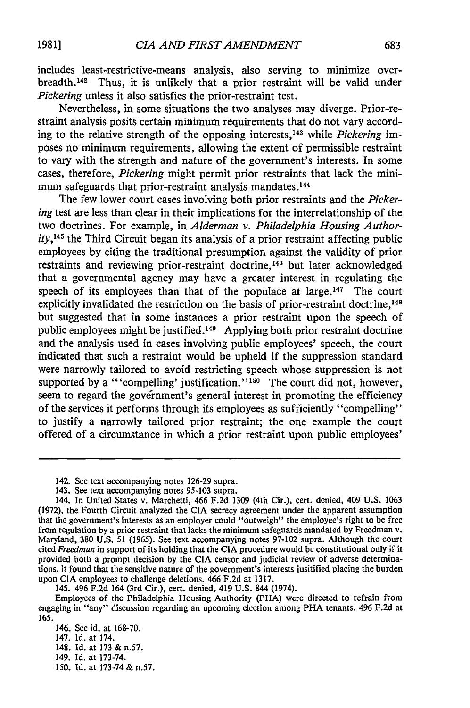includes least-restrictive-means analysis, also serving to minimize overbreadth.<sup>142</sup> Thus, it is unlikely that a prior restraint will be valid under *Pickering* unless it also satisfies the prior-restraint test.

Nevertheless, in some situations the two analyses may diverge. Prior-restraint analysis posits certain minimum requirements that do not vary according to the relative strength of the opposing interests, 43 while *Pickering* imposes no minimum requirements, allowing the extent of permissible restraint to vary with the strength and nature of the government's interests. In some cases, therefore, *Pickering* might permit prior restraints that lack the minimum safeguards that prior-restraint analysis mandates.<sup>144</sup>

The few lower court cases involving both prior restraints and the *Pickering* test are less than clear in their implications for the interrelationship of the two doctrines. For example, in *Alderman v. Philadelphia Housing Authority, <sup>45</sup>*the Third Circuit began its analysis of a prior restraint affecting public employees by citing the traditional presumption against the validity of prior restraints and reviewing prior-restraint doctrine, 140 but later acknowledged that a governmental agency may have a greater interest in regulating the speech of its employees than that of the populace at large.<sup>147</sup> The court explicitly invalidated the restriction on the basis of prior-restraint doctrine,<sup>148</sup> but suggested that in some instances a prior restraint upon the speech of public employees might be justified. 49 Applying both prior restraint doctrine and the analysis used in cases involving public employees' speech, the court indicated that such a restraint would be upheld if the suppression standard were narrowly tailored to avoid restricting speech whose suppression is not supported by a "'compelling' justification."<sup>150</sup> The court did not, however, seem to regard the government's general interest in promoting the efficiency of the services it performs through its employees as sufficiently "compelling" to justify a narrowly tailored prior restraint; the one example the court offered of a circumstance in which a prior restraint upon public employees'

- 149. Id. at 173-74.
- **150. Id.** at 173-74 & n.57.

<sup>142.</sup> See text accompanying notes 126-29 supra.

<sup>143.</sup> See text accompanying notes 95-103 supra.

<sup>144.</sup> In United States v. Marchetti, 466 F.2d 1309 (4th Cir.), cert. denied, 409 U.S. 1063 (1972), the Fourth Circuit analyzed the CIA secrecy agreement under the apparent assumption that the government's interests as an employer could "outweigh" the employee's right to be free from regulation by a prior restraint that lacks the minimum safeguards mandated by Freedman v. Maryland, 380 U.S. 51 (1965). See text accompanying notes 97-102 supra. Although the court cited *Freedman* in support of its holding that the CIA procedure would be constitutional only if it provided both a prompt decision by the CIA censor and judicial review of adverse determinations, it found that the sensitive nature of the government's interests jusitified placing the burden upon CIA employees to challenge deletions. 466 F.2d at 1317.

<sup>145. 496</sup> F.2d 164 (3rd Cir.), cert. denied, 419 U.S. 844 (1974).

Employees of the Philadelphia Housing Authority (PHA) were directed to refrain from engaging in "any" discussion regarding an upcoming election among PHA tenants. 496 F.2d at **165.**

<sup>146.</sup> See id. at 168-70.

<sup>147.</sup> **Id.** at 174.

<sup>148.</sup> Id. at 173 & n.57.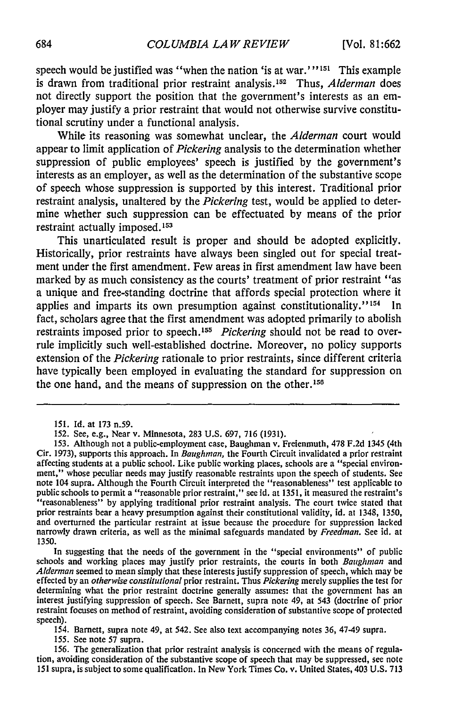speech would be justified was "when the nation 'is at war."<sup>151</sup> This example is drawn from traditional prior restraint analysis.<sup>152</sup> Thus, *Alderman* does not directly support the position that the government's interests as an employer may justify a prior restraint that would not otherwise survive constitutional scrutiny under a functional analysis.

While its reasoning was somewhat unclear, the *Alderman* court would appear to limit application of *Pickering* analysis to the determination whether suppression of public employees' speech is justified by the government's interests as an employer, as well as the determination of the substantive scope of speech whose suppression is supported by this interest. Traditional prior restraint analysis, unaltered by the *Pickering* test, would be applied to determine whether such suppression can be effectuated by means of the prior restraint actually imposed.<sup>153</sup>

This unarticulated result is proper and should be adopted explicitly. Historically, prior restraints have always been singled out for special treatment under the first amendment. Few areas in first amendment law have been marked by as much consistency as the courts' treatment of prior restraint "as a unique and free-standing doctrine that affords special protection where it applies and imparts its own presumption against constitutionality."<sup>154</sup> In fact, scholars agree that the first amendment was adopted primarily to abolish restraints imposed prior to speech.<sup>155</sup> Pickering should not be read to overrule implicitly such well-established doctrine. Moreover, no policy supports extension of the *Pickering* rationale to prior restraints, since different criteria have typically been employed in evaluating the standard for suppression on the one hand, and the means of suppression on the other.<sup>156</sup>

In suggesting that the needs of the government in the "special environments" of public schools and working places may justify prior restraints, the courts in both Baughman and *Alderman* seemed to mean simply that these interests justify suppression of speech, which may be effected by an *otherwise constitutional* prior restraint. Thus *Pickering* merely supplies the test for determining what the prior restraint doctrine generally assumes: that the government has an interest justifying suppression of speech. See Barnett, supra note 49, at 543 (doctrine of prior restraint focuses on method of restraint, avoiding consideration of substantive scope of protected speech).

154. Barnett, supra note 49, at 542. See also text accompanying notes 36, 47-49 supra.

155. See note 57 supra.

156. The generalization that prior restraint analysis is concerned with the means of regulation, avoiding consideration of the substantive scope of speech that may be suppressed, see note 151 supra, is subject to some qualification. In New York Times Co. v. United States, 403 U.S. 713

<sup>151.</sup> Id. at 173 n.59.

<sup>152.</sup> See, e.g., Near v. Minnesota, 283 U.S. 697, 716 (1931).

<sup>153.</sup> Although not a public-employment case, Baughman v. Freienmuth, 478 F.2d 1345 (4th Cir. 1973), supports this approach. In Baughman, the Fourth Circuit invalidated a prior restraint affecting students at a public school. Like public working places, schools are a "special environment," whose peculiar needs may justify reasonable restraints upon the speech of students. **See** note 104 supra. Although the Fourth Circuit interpreted the "reasonableness" test applicable to public schools to permit a "reasonable prior restraint," see id. at 1351, it measured the restraint's "reasonableness" by applying traditional prior restraint analysis. The court twice stated that prior restraints bear a heavy presumption against their constitutional validity, id. at 1348, 1350, and overturned the particular restraint at issue because the procedure for suppression lacked narrowly drawn criteria, as well as the minimal safeguards mandated by Freedman. See id. at 1350.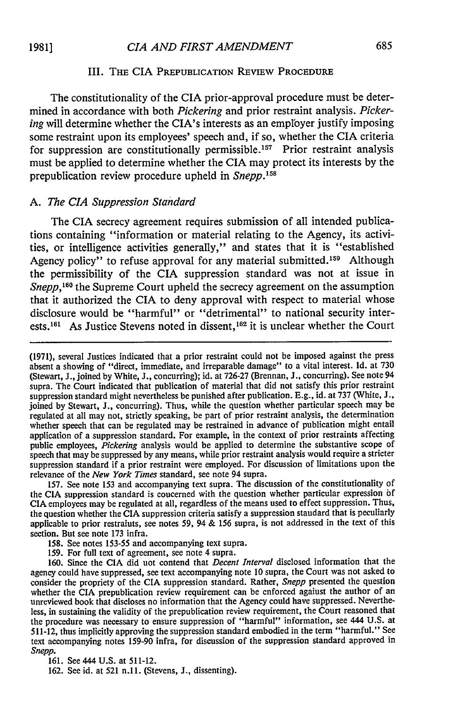#### **III.** THE **CIA** PREPUBLICATION REVIEW PROCEDURE

The constitutionality of the **CIA** prior-approval procedure must be determined in accordance with both *Pickering* and prior restraint analysis. *Pickering* will determine whether the CIA's interests as an employer justify imposing some restraint upon its employees' speech and, if so, whether the **CIA** criteria for suppression are constitutionally permissible.<sup>157</sup> Prior restraint analysis must be applied to determine whether the CIA may protect its interests **by** the prepublication review procedure upheld in *Snepp. <sup>58</sup>*

#### *A. The CIA Suppression Standard*

The **CIA** secrecy agreement requires submission of all intended publications containing "information or material relating to the Agency, its activities, or intelligence activities generally," and states that it is "established Agency policy" to refuse approval for any material submitted.<sup>159</sup> Although the permissibility of the **CIA** suppression standard was not at issue in *Snepp*,<sup>160</sup> the Supreme Court upheld the secrecy agreement on the assumption that it authorized the CIA to deny approval with respect to material whose disclosure would be "harmful" or "detrimental" to national security interests.<sup>161</sup> As Justice Stevens noted in dissent,  $162$  it is unclear whether the Court

**157.** See note **153** and accompanying text supra. The discussion of the constitutionality of the CIA suppression standard is concerned with the question whether particular expression **bf CIA** employees may be regulated at all, regardless of the means used to effect suppression. Thus, the question whether the **CIA** suppression criteria satisfy a suppression standard that is peculiarly applicable to prior restraints, see notes **59,** 94 **& 156** supra, is not addressed in the text of this section. But see note **173** infra.

- **158.** See notes **153-55** and accompanying text supra.
- **159.** For full text of agreement, see note 4 supra.

**160.** Since the **CIA** did not contend that *Decent Interval* disclosed information that the agency could have suppressed, see text accompanying note **10** supra, the Court was not asked to consider the propriety of the CIA suppression standard. Rather, *Snepp* presented the question whether the CIA prepublication review requirement can be enforced against the author of an unreviewed book that discloses no information that the Agency could have suppressed. Nevertheless, in sustaining the validity of the prepublication review requirement, the Court reasoned that the procedure was necessary to ensure suppression of "harmful" information, see 444 **U.S.** at **511-12,** thus implicitly approving the suppression standard embodied in the term "harmful." See text accompanying notes **159-90** infra, for discussion of the suppression standard approved in *Snepp.*

**161.** See 444 **U.S.** at **511-12.**

**162.** See id. at 521 **n.11.** (Stevens, **J.,** dissenting).

**<sup>(1971),</sup>** several Justices indicated that a prior restraint could not be imposed against the press absent a showing of "direct, immediate, and irreparable damage" to a vital interest. **Id.** at **730** (Stewart, **J.,** joined **by** White, **J.,** concurring); id. at **726-27** (Brennan, **J.,** concurring). See note 94 supra. The Court indicated that publication of material that did not satisfy this prior restraint suppression standard might nevertheless be punished after publication. **E.g.,** id. at **737** (White, **J.,** joined **by** Stewart, **J.,** concurring). Thus, while the question whether particular speech may be regulated at all may not, strictly speaking, be part of prior restraint analysis, the determination whether speech that can be regulated may be restrained in advance of publication might entail application of a suppression standard. For example, in the context of prior restraints affecting public employees, *Pickering* analysis would be applied to determine the substantive scope of speech that may be suppressed **by** any means, while prior restraint analysis would require a stricter suppression standard if a prior restraint were employed. For discussion of limitations upon the relevance of the *New York Times* standard, see note 94 supra.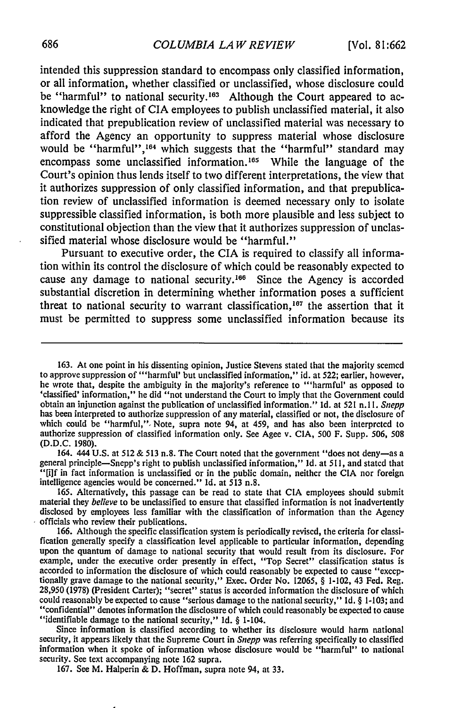intended this suppression standard to encompass only classified information, or all information, whether classified or unclassified, whose disclosure could be "harmful" to national security.<sup>163</sup> Although the Court appeared to acknowledge the right of CIA employees to publish unclassified material, it also indicated that prepublication review of unclassified material was necessary to afford the Agency an opportunity to suppress material whose disclosure would be "harmful",<sup>164</sup> which suggests that the "harmful" standard may encompass some unclassified information.<sup>165</sup> While the language of the Court's opinion thus lends itself to two different interpretations, the view that it authorizes suppression of only classified information, and that prepublication review of unclassified information is deemed necessary only to isolate suppressible classified information, is both more plausible and less subject to constitutional objection than the view that it authorizes suppression of unclassified material whose disclosure would be "harmful."

Pursuant to executive order, the CIA is required to classify all information within its control the disclosure of which could be reasonably expected to cause any damage to national security.<sup>166</sup> Since the Agency is accorded substantial discretion in determining whether information poses a sufficient threat to national security to warrant classification,  $167$  the assertion that it must be permitted to suppress some unclassified information because its

164. 444 U.S. at 512 & 513 n.8. The Court noted that the government "does not deny-as a general principle-Snepp's right to publish unclassified information," Id. at 511, and stated that "[i]f in fact information is unclassified or in the public domain, neither the CIA nor foreign intelligence agencies would be concerned." Id. at 513 n.8.

165. Alternatively, this passage can be read to state that CIA employees should submit material they *believe* to be unclassified to ensure that classified information is not inadvertently disclosed **by** employees less familiar with the classification of information than the Agency officials who review their publications.

**167.** See M. Halperin **& D.** Hoffman, supra note 94, at **33.**

<sup>163.</sup> At one point in his dissenting opinion, Justice Stevens stated that the majority seemed to approve suppression of '"harmful' but unclassified information," id. at 522; earlier, however, he wrote that, despite the ambiguity in the majority's reference to "'harmful' as opposed to 'classified' information," he did "not understand the Court to imply that the Government could obtain an injunction against the publication of unclassified information." Id. at 521 n.11. *Snepp* has been interpreted to authorize suppression of any material, classified or not, the disclosure of which could be "harmful," Note, supra note 94, at 459, and has also been interpreted to authorize suppression of classified information only. See Agee v. CIA, 500 F. Supp. 506, 508 (D.D.C. 1980).

**<sup>166.</sup>** Although the specific classification system is periodically revised, the criteria for classification generally specify a classification level applicable to particular information, depending upon the quantum of damage to national security that would result from its disclosure. For example, under the executive order presently in effect, "Top Secret" classification status is accorded to information the disclosure of which could reasonably be expected to cause "exccptionally grave damage to the national security," Exec. Order No. 12065, § 1-102, 43 Fed. Reg.<br>28,950 (1978) (President Carter); "s could reasonably be expected to cause "serious damage to the national security," **Id.** § **1-103;** and ''confidential" denotes information the disclosure of which could reasonably be expected to cause "identifiable damage to the national security," 1d. § 1-104.

Since information is classified according to whether its disclosure would harm national security, it appears likely that the Supreme Court in *Snepp* was referring specifically to classified information when it spoke of information whose disclosure would be "harmful" to national security. See text accompanying note **162** supra.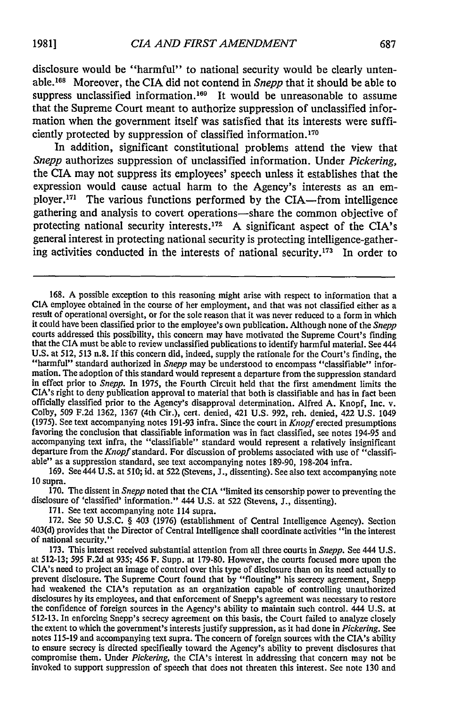disclosure would be "harmful" to national security would be clearly untenable.<sup>168</sup> Moreover, the CIA did not contend in *Snepp* that it should be able to suppress unclassified information.<sup>169</sup> It would be unreasonable to assume that the Supreme Court meant to authorize suppression of unclassified information when the government itself was satisfied that its interests were sufficiently protected by suppression of classified information. <sup>170</sup>

In addition, significant constitutional problems attend the view that *Snepp* authorizes suppression of unclassified information. Under *Pickering,* the CIA may not suppress its employees' speech unless it establishes that the expression would cause actual harm to the Agency's interests as an employer.<sup>171</sup> The various functions performed by the CIA-from intelligence gathering and analysis to covert operations-share the common objective of protecting national security interests.<sup>172</sup> A significant aspect of the CIA's general interest in protecting national security is protecting intelligence-gathering activities conducted in the interests of national security.<sup>173</sup> In order to

168. A possible exception to this reasoning might arise with respect to information that a CIA employee obtained in the course of her employment, and that was not classified either as a result of operational oversight, or it could have been classified prior to the employee's own publication. Although none of the *Snepp* courts addressed this possibility, this concern may have motivated the Supreme Court's finding that the CIA must be able to review unclassified publications to identify harmful material. See 444 U.S. at 512, 513 n.8. If this concern did, indeed, supply the rationale for the Court's finding, the "harmful" standard authorized in *Snepp* may be understood to encompass "classifiable" information. The adoption of this standard would represent a departure from the suppression standard in effect prior to *Snepp.* In 1975, the Fourth Circuit held that the first amendment limits the CIA's right to deny publication approval to material that both is classifiable and has in fact been officially classified prior to the Agency's disapproval determination. Alfred A. Knopf, Inc. v. Colby, **509** F.2d 1362, 1367 (4th Cir.), cert. denied, 421 U.S. 992, reh. denied, 422 U.S. 1049 (1975). See text accompanying notes 191-93 infra. Since the court in *Knopf* erected presumptions favoring the conclusion that classifiable information was in fact classified, see notes 194-95 and accompanying text infra, the "classifiable" standard would represent a relatively insignificant departure from the *Knopf* standard. For discussion of problems associated with use of "classifiable" as a suppression standard, see text accompanying notes 189-90, 198-204 infra.

169. See 444 U.S. at 510; id. at 522 (Stevens, J., dissenting). See also text accompanying note **10** supra.

170. The dissent in *Snepp* noted that the CIA "limited its censorship power to preventing the disclosure of 'classified' information." 444 U.S. at 522 (Stevens, J., dissenting).

171. See text accompanying note 114 supra.

172. See **50** U.S.C. § 403 (1976) (establishment of Central Intelligence Agency). Section 403(d) provides that the Director of Central Intelligence shall coordinate activities "in the interest of national security."

173. This interest received substantial attention from all three courts in *Snepp.* See 444 U.S. at 512-13; 595 F.2d at 935; 456 F. Supp. at 179-80. However, the courts focused more upon the CIA's need to project an image of control over this type of disclosure than on its need actually to prevent disclosure. The Supreme Court found that by "flouting" his secrecy agreement, Snepp had weakened the CIA's reputation as an organization capable of controlling unauthorized disclosures by its employees, and that enforcement of Snepp's agreement was necessary to restore the confidence of foreign sources in the Agency's ability to maintain such control. 444 U.S. at 512-13. In enforcing Snepp's secrecy agreement on this basis, the Court failed to analyze closely the extent to which the government's interests justify suppression, as it had done in *Pickering.* See notes 115-19 and accompanying text supra. The concern of foreign sources with the CIA's ability to ensure secrecy is directed specifically toward the Agency's ability to prevent disclosures that compromise them. Under *Pickering,* the CIA's interest in addressing that concern may not be invoked to support suppression of speech that does not threaten this interest. See note **130** and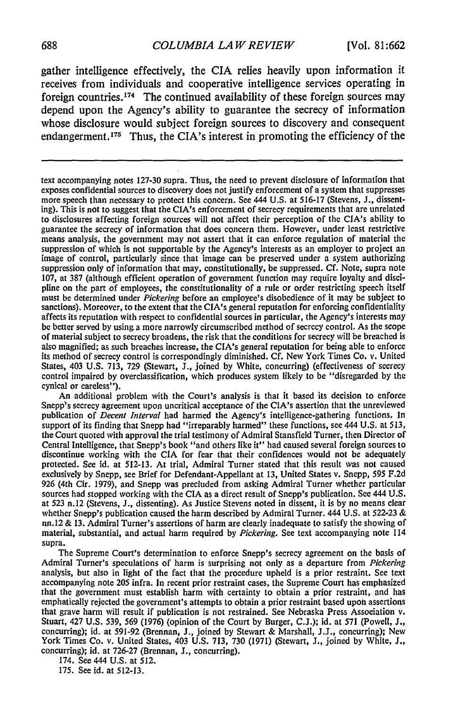gather intelligence effectively, the CIA relies heavily upon information it receives from individuals and cooperative intelligence services operating in foreign countries. 174 The continued availability of these foreign sources may depend upon the Agency's ability to guarantee the secrecy of information whose disclosure would subject foreign sources to discovery and consequent endangerment.<sup>175</sup> Thus, the CIA's interest in promoting the efficiency of the

text accompanying notes 127-30 supra. Thus, the need to prevent disclosure of information that exposes confidential sources to discovery does not justify enforcement of a system that suppresses more speech than necessary to protect this concern. See 444 U.S. at 516-17 (Stevens, J., dissenting). This is not to suggest that the CIA's enforcement of secrecy requirements that are unrelated to disclosures affecting foreign sources will not affect their perception of the CIA's ability to guarantee the secrecy of information that does concern them. However, under least restrictive means analysis, the government may not assert that it can enforce regulation of material the suppression of which is not supportable **by** the Agency's interests as an employer to project an image of control, particularly since that image can be preserved under a system authorizing suppression only of information that may, constitutionally, be suppressed. Cf. Note, supra note 107, at 387 (although efficient operation of government function may require loyalty and discipline on the part of employees, the constitutionality of a rule or order restricting speech itself must be determined under *Pickering* before an employee's disobedience of it may be subject to sanctions). Moreover, to the extent that the CIA's general reputation for enforcing confidentiality affects its reputation with respect to confidential sources in particular, the Agency's interests may be better served by using a more narrowly circumscribed method of secrecy control. As the scope of material subject to secrecy broadens, the risk that the conditions for secrecy will be breached is also magnified; as such breaches increase, the CIA's general reputation for being able to enforce its method of secrecy control is correspondingly diminished. Cf. New York Times Co. v. United States, 403 U.S. 713, 729 (Stewart, J., joined by White, concurring) (effectiveness of secrecy control impaired by overclassification, which produces system likely to be "disregarded by the cynical or careless").

An additional problem with the Court's analysis is that it based its decision to enforce Snepp's secrecy agreement upon uncritical acceptance of the CIA's assertion that the unreviewed publication of *Decent Interval* had harmed the Agency's intelligence-gathering functions. In support of its finding that Snepp had "irreparably harmed" these functions, see 444 U.S. at 513, the Court quoted with approval the trial testimony of Admiral Stansfield Turner, then Director of Central Intelligence, that Snepp's book "and others like it" had caused several foreign sources to discontinue working with the CIA for fear that their confidences would not be adequately protected. See id. at 512-13. At trial, Admiral Turner stated that this result was not caused exclusively by Snepp, see Brief for Defendant-Appellant at 13, United States v. Snepp, 595 F.2d 926 (4th Cir. 1979), and Snepp was precluded from asking Admiral Turner whether particular sources had stopped working with the CIA as a direct result of Snepp's publication. See 444 U.S. at 523 n.12 (Stevens, J., dissenting). As Justice Stevens noted in dissent, it is by no means clear whether Snepp's publication caused the harm described by Admiral Turner. 444 U.S. at 522-23  $\&$ nn.12 & **13.** Admiral Turner's assertions of harm are clearly inadequate to satisfy the showing of material, substantial, and actual harm required by *Pickering.* See text accompanying note 114 supra.

The Supreme Court's determination to enforce Snepp's secrecy agreement on the basis of Admiral Turner's speculations of harm is surprising not only as a departure from *Pickering* analysis, but also in light of the fact that the procedure upheld is a prior restraint. See text accompanying note 205 infra. In recent prior restraint cases, the Supreme Court has emphasized that the government must establish harm with certainty to obtain a prior restraint, and has emphatically rejected the government's attempts to obtain a prior restraint based upon assertions that grave harm will result if publication is not restrained. See Nebraska Press Association v. Stuart, 427 U.S. 539, 569 (1976) (opinion of the Court by Burger, C.J.); id. at 571 (Powell, J., concurring); id. at 591-92 (Brennan, J., joined by Stewart & Marshall, J.J., concurring); New York Times Co. v. United States, 403 U.S. 713, 730 (1971) (Stewart, J., joined by White, J., concurring); id. at 726-27 (Brennan, J., concurring).

174. See 444 U.S. at 512. 175. See id. at 512-13.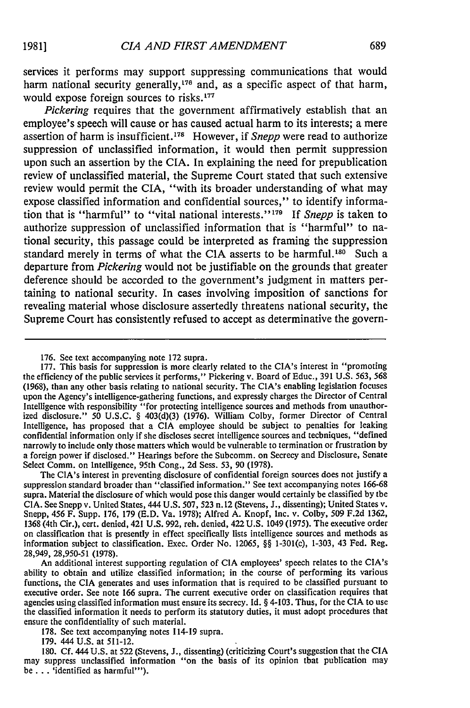services it performs may support suppressing communications that would harm national security generally,<sup>176</sup> and, as a specific aspect of that harm, would expose foreign sources to **risks.177**

*Pickering* requires that the government affirmatively establish that an employee's speech will cause or has caused actual harm to its interests; a mere assertion of harm is insufficient. 78 However, if *Snepp* were read to authorize suppression of unclassified information, it would then permit suppression upon such an assertion by the CIA. In explaining the need for prepublication review of unclassified material, the Supreme Court stated that such extensive review would permit the CIA, "with its broader understanding of what may expose classified information and confidential sources," to identify information that is "harmful" to "vital national interests." **179** If *Snepp* is taken to authorize suppression of unclassified information that is "harmful" to national security, this passage could be interpreted as framing the suppression standard merely in terms of what the CIA asserts to be harmful.<sup>180</sup> Such a departure from *Pickering* would not be justifiable on the grounds that greater deference should be accorded to the government's judgment in matters pertaining to national security. In cases involving imposition of sanctions for revealing material whose disclosure assertedly threatens national security, the Supreme Court has consistently refused to accept as determinative the govern-

The CIA's interest in preventing disclosure of confidential foreign sources does not justify a suppression standard broader than "classified information." See text accompanying notes 166-68 supra. Material the disclosure of which would pose this danger would certainly be classified by the CIA. See Snepp v. United States, 444 U.S. 507, 523 n. 12 (Stevens, J., dissenting); United States v. Snepp, 456 F. Supp. 176, 179 (E.D. Va. 1978); Alfred A. Knopf, Inc. v. Colby, **509** F.2d 1362, 1368 (4th Cir.), cert. denied, 421 U.S. 992, reh. denied, 422 U.S. 1049 (1975). The executive order on classification that is presently in effect specifically lists intelligence sources and methods as information subject to classification. Exec. Order No. 12065, §§ 1-301(c), 1-303, 43 Fed. Reg. 28,949, 28,950-51 (1978).

An additional interest supporting regulation of CIA employees' speech relates to the CIA's ability to obtain and utilize classified information; in the course of performing its various functions, the CIA generates and uses information that is required to be classified pursuant to executive order. See note 166 supra. The current executive order on classification requires that agencies using classified information must ensure its secrecy. Id. § 4-103. Thus, for the CIA to use the classified information it needs to perform its statutory duties, it must adopt procedures that ensure the confidentiality of such material.

178. See text accompanying notes 114-19 supra.

179. 444 U.S. at 511-12.

180. Cf. 444 U.S. at 522 (Stevens, J., dissenting) (criticizing Court's suggestion that the CIA may suppress unclassified information "on the basis of its opinion that publication may be **. .** . 'identified as harmful"').

<sup>176.</sup> See text accompanying note 172 supra.

<sup>177.</sup> This basis for suppression is more clearly related to the CIA's interest in "promoting the efficiency of the public services it performs," Pickering v. Board of Educ., 391 U.S. 563, 568 (1968), than any other basis relating to national security. The CIA's enabling legislation focuses upon the Agency's intelligence-gathering functions, and expressly charges the Director of Central Intelligence with responsibility "for protecting intelligence sources and methods from unauthorized disclosure." **50** U.S.C. § **403(d)(3)** (1976). William Colby, former Director of Central Intelligence, has proposed that a CIA employee should be subject to penalties for leaking confidential information only if she discloses secret intelligence sources and techniques, "defined narrowly to include only those matters which would be vulnerable to termination or frustration by a foreign power if disclosed." Hearings before the Subcomm. on Secrecy and Disclosure, Senate Select Comm. on Intelligence, 95th Cong., **2d** Sess. 53, **90** (1978).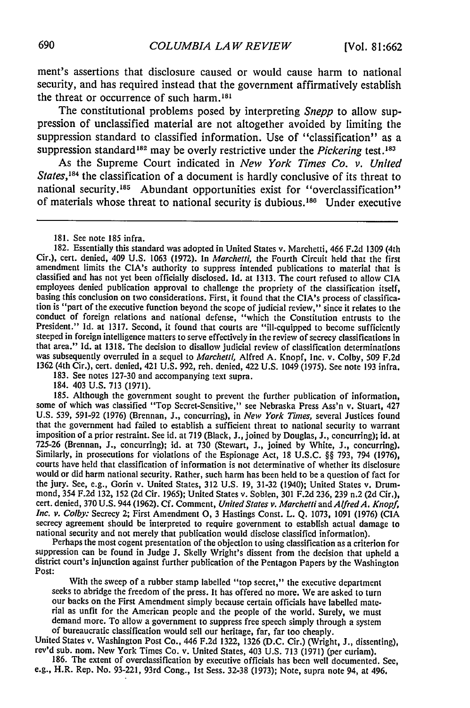ment's assertions that disclosure caused or would cause harm to national security, and has required instead that the government affirmatively establish the threat or occurrence of such harm.<sup>181</sup>

The constitutional problems posed by interpreting *Snepp* to allow suppression of unclassified material are not altogether avoided by limiting the suppression standard to classified information. Use of "classification" as a suppression standard<sup>182</sup> may be overly restrictive under the *Pickering* test.<sup>183</sup>

As the Supreme Court indicated in *New York Times Co. v. United States, <sup>84</sup>*the classification of a document is hardly conclusive of its threat to national security.<sup>185</sup> Abundant opportunities exist for "overclassification" of materials whose threat to national security is dubious.<sup>186</sup> Under executive

181. See note 185 infra.

182. Essentially this standard was adopted in United States v. Marchetti, 466 F.2d 1309 (4th Cir.), cert. denied, 409 U.S. 1063 (1972). In *Marchetti,* the Fourth Circuit held that the first amendment limits the CIA's authority to suppress intended publications to material that is classified and has not yet been officially disclosed. Id. at 1313. The court refused to allow CIA employees denied publication approval to challenge the propriety of the classification itself, basing this conclusion on two considerations. First, it found that the CIA's process of classification is "part of the executive function beyond the scope of judicial review," since it relates to the conduct of foreign relations and national defense, "which the Constitution entrusts to the<br>President." Id. at 1317. Second, it found that courts are "ill-cquipped to become sufficiently steeped in foreign intelligence matters to serve effectively in the review of secrecy classifications in that area." Id. at 1318. The decision to disallow judicial review of classification determinations was subsequently overruled in a sequel to *Marchetti,* Alfred A. Knopf, Inc. v. Colby, 509 F.2d 1362 (4th Cir.), cert. denied, 421 U.S. 992, reh. denied, 422 U.S. 1049 (1975). See note 193 infra.

183. See notes 127-30 and accompanying text supra.

184. 403 U.S. 713 (1971).

185. Although the government sought to prevent the further publication of information, some of which was classified "Top Secret-Sensitive," see Nebraska Press Ass'n v. Stuart, 427 U.S. 539, 591-92 (1976) (Brennan, J., concurring), in *New York Times,* several Justices found that the government had failed to establish a sufficient threat to national security to warrant imposition of a prior restraint. See id. at 719 (Black, J., joined by Douglas, J., concurring); id. at 725-26 (Brennan, J., concurring); id. at 730 (Stewart, **J.,** joined by White, J., concurring). Similarly, in prosecutions for violations of the Espionage Act, 18 U.S.C. §§ 793, 794 (1976), courts have held that classification of information is not determinative of whether its disclosure would or did harm national security. Rather, such harm has been held to be a question of fact for the jury. See, e.g., Gorin v. United States, 312 U.S. 19, 31-32 (1940); United States v. Drummond, 354 F.2d 132, 152 (2d Cir. 1965); United States v. Soblen, 301 F.2d 236, 239 n.2 (2d Cir.), cert. denied, 370 U.S. 944 (1962). Cf. Comment, *United States v. Marchetti* and *Alfred A. Knopf, Inc. v. Colby:* Secrecy 2; First Amendment **0,** 3 Hastings Const. L. Q. 1073, 1091 (1976) (CIA secrecy agreement should be interpreted to require government to establish actual damage to

national security and not merely that publication would disclose classified information). Perhaps the most cogent presentation of the objection to using classification as a criterion for suppression can be found in Judge J. Skelly Wright's dissent from the decision that upheld a district court's injunction against further publication of the Pentagon Papers by the Washington Post:

With the sweep of a rubber stamp labelled "top secret," the executive department<br>seeks to abridge the freedom of the press. It has offered no more. We are asked to turn<br>our backs on the First Amendment simply because certa rial as unfit for the American people and the people of the world. Surely, we must

demand more. To allow a government to suppress free speech simply through a system<br>of bureaucratic classification would sell our heritage, far, far too cheaply.<br>United States v. Washington Post Co., 446 F.2d 1322, 1326 (D.

e.g., H.R. Rep. No. 93-221, 93rd Cong., Ist Sess. 32-38 (1973); Note, supra note 94, at 496.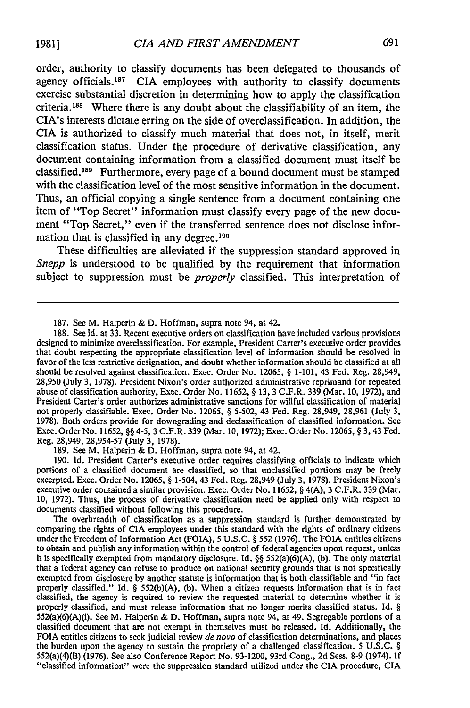order, authority to classify documents has been delegated to thousands of agency officials.<sup>187</sup> CIA employees with authority to classify documents exercise substantial discretion in determining how to apply the classification criteria.'88 Where there is any doubt about the classifiability of an item, the CIA's interests dictate erring on the side of overclassification. In addition, the CIA is authorized to classify much material that does not, in itself, merit classification status. Under the procedure of derivative classification, any document containing information from a classified document must itself be classified.<sup>189</sup> Furthermore, every page of a bound document must be stamped with the classification level of the most sensitive information in the document. Thus, an official copying a single sentence from a document containing one item of "Top Secret" information must classify every page of the new document "Top Secret," even if the transferred sentence does not disclose information that is classified in any degree.<sup>190</sup>

These difficulties are alleviated if the suppression standard approved in *Snepp* is understood to be qualified by the requirement that information subject to suppression must be *properly* classified. This interpretation of

189. See M. Halperin & D. Hoffman, supra note 94, at 42.

190. Id. President Carter's executive order requires classifying officials to indicate which portions of a classified document are classified, so that unclassified portions may be freely excerpted. Exec. Order No. 12065, **§** 1-504, 43 Fed. Reg. 28,949 (July 3, 1978). President Nixon's executive order contained a similar provision. Exec. Order No. 11652, § 4(A), 3 C.F.R. 339 (Mar. 10, 1972). Thus, the process of derivative classification need be applied only with respect to documents classified without following this procedure.

The overbreadth of classification as a suppression standard is further demonstrated by comparing the rights of CIA employees under this standard with the rights of ordinary citizens under the Freedom of Information Act (FOIA), 5 U.S.C. § 552 (1976). The FOIA entitles citizens to obtain and publish any information within the control of federal agencies upon request, unless it is specifically exempted from mandatory disclosure. Id. **§§** 552(a)(6)(A), (b). The only material that a federal agency can refuse to produce on national security grounds that is not specifically exempted from disclosure by another statute is information that is both classifiable and "in fact properly classified." Id. § 552(b)(A), (b). When a citizen requests information that is in fact classified, the agency is required to review the requested material to determine whether it is properly classified, and must release information that no longer merits classified status. Id. **§**  $552(a)(6)(A)(i)$ . See M. Halperin & D. Hoffman, supra note 94, at 49. Segregable portions of a classified document that are not exempt in themselves must be released. Id. Additionally, the FOIA entitles citizens to seek judicial review *de novo* of classification determinations, and places the burden upon the agency to sustain the propriety of a challenged classification. 5 U.S.C. § 552(a)(4)(B) (1976). See also Conference Report No. 93-1200, 93rd Cong., 2d Sess. **8-9** (1974). If "classified information" were the suppression standard utilized under the CIA procedure, CIA

<sup>187.</sup> See M. Halperin & D. Hoffman, supra note 94, at 42.

<sup>188.</sup> See id. at 33. Recent executive orders on classification have included various provisions designed to minimize overclassification. For example, President Carter's executive order provides that doubt respecting the appropriate classification level of information should be resolved in favor of the less restrictive designation, and doubt whether information should be classified at all should be resolved against classification. Exec. Order No. 12065, **§** 1-101, 43 Fed. Reg. 28,949, 28,950 (July 3, 1978). President Nixon's order authorized administrative reprimand for repeated abuse of classification authority, Exec. Order No. 11652, **§** 13, 3 C.F.R. 339 (Mar. **10,** 1972), and President Carter's order authorizes administrative sanctions for willful classification of material not properly classifiable. Exec. Order No. 12065, § 5-502, 43 Fed. Reg. 28,949, 28,961 (July 3, 1978). Both orders provide for downgrading and declassification of classified information. See Exec. Order No. 11652, **§§** 4-5, 3 C.F.R. 339 (Mar. **10,** 1972); Exec. Order No. 12065, § 3, 43 Fed. Reg. 28,949, 28,954-57 (July 3, 1978).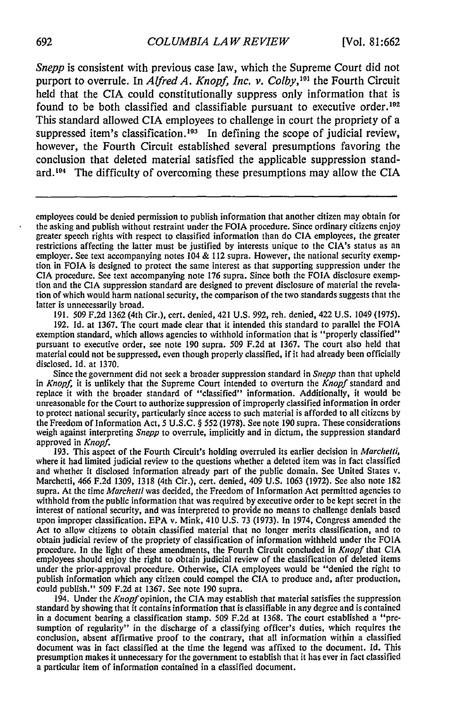*Snepp* is consistent with previous case law, which the Supreme Court did not purport to overrule. In *Alfred A. Knopf, Inc. v. Colby,'9 1* the Fourth Circuit held that the CIA could constitutionally suppress only information that is found to be both classified and classifiable pursuant to executive order.<sup>192</sup> This standard allowed CIA employees to challenge in court the propriety of a suppressed item's classification.<sup>193</sup> In defining the scope of judicial review, however, the Fourth Circuit established several presumptions favoring the conclusion that deleted material satisfied the applicable suppression standard. 94 The difficulty of overcoming these presumptions may allow the **CIA**

191. 509 F.2d 1362 (4th Cir.), cert. denied, 421 U.S. 992, reh. denied, 422 U.S. 1049 (1975). 192. Id. at 1367. The court made clear that it intended this standard to parallel the FOIA exemption standard, which allows agencies to withhold information that is "properly classified" pursuant to executive order, see note 190 supra. 509 F.2d at 1367. The court also held that material could not be suppressed, even though properly classified, if it had already been officially disclosed. Id. at 1370.

Since the government did not seek a broader suppression standard in *Snepp* than that upheld in *Knopf,* it is unlikely that the Supreme Court intended to overturn the *Knopf* standard and replace it with the broader standard of "classified" information. Additionally, it would be unreasonable for the Court to authorize suppression of improperly classified information in order to protect national security, particularly since access to such material is afforded to all citizens by the Freedom of Information Act, 5 U.S.C. § 552 (1978). See note 190 supra. These considerations weigh against interpreting *Snepp* to overrule, implicitly and in dictum, the suppression standard approved in *Knopf.* **193.** This aspect of the Fourth Circuit's holding overruled its earlier decision in *Marchetti,*

where it had limited judicial review to the questions whether a deleted item was in fact classified and whether it disclosed information already part of the public domain. See United States **v.** Marchetti, 466 **F.2d 1309,** 1318 (4th Cir.), cert. denied, 409 **U.S. 1063** (1972). See also note 182 supra. At the time *Marchetti* was decided, the Freedom of Information Act permitted agencies to withhold from the public information that was required by executive order to be kept secret in the interest of national security, and was interpreted to provide no means to challenge denials based upon improper classification. EPA v. Mink, 410 U.S. 73 (1973). In 1974, Congress amended the Act to allow citizens to obtain classified material that no longer merits classification, and to obtain judicial review of the propriety of classification of information withheld under the FOIA procedure. In the light of these amendments, the Fourth Circuit concluded in *Knopf* that CIA employees should enjoy the right to obtain judicial review of the classification of deleted items under the prior-approval procedure. Otherwise, CIA employees would be "denied the right to publish information which any citizen could compel the CIA to produce and, after production, could publish." 509 F.2d at 1367. See note 190 supra.

194. Under the *Knopf* opinion, the CIA may establish that material satisfies the suppression standard by showing that it contains information that is classifiable in any degree and is contained in a document bearing a classification stamp. 509 F.2d at 1368. The court established a "presumption of regularity" in the discharge of a classifying officer's duties, which requires the conclusion, absent affirmative proof to the contrary, that all information within a classified document was in fact classified at the time the legend was affixed to the document. **Id.** This presumption makes it unnecessary for the government to establish that it has ever in fact classified a particular item of information contained in a classified document.

employees could be denied permission to publish information that another citizen may obtain for the asking and publish without restraint under the FOIA procedure. Since ordinary citizens enjoy greater speech rights with respect to classified information than do **CIA** employees, the greater restrictions affecting the latter must be justified by interests unique to the CIA's status as an employer. See text accompanying notes 104 & 112 supra. However, the national security exemption in FOIA is designed to protect the same interest as that supporting suppression under the CIA procedure. See text accompanying note 176 supra. Since both the FOIA disclosure exemption and the CIA suppression standard are designed to prevent disclosure of material the revelation of which would harm national security, the comparison of the two standards suggests that the latter is unnecessarily broad.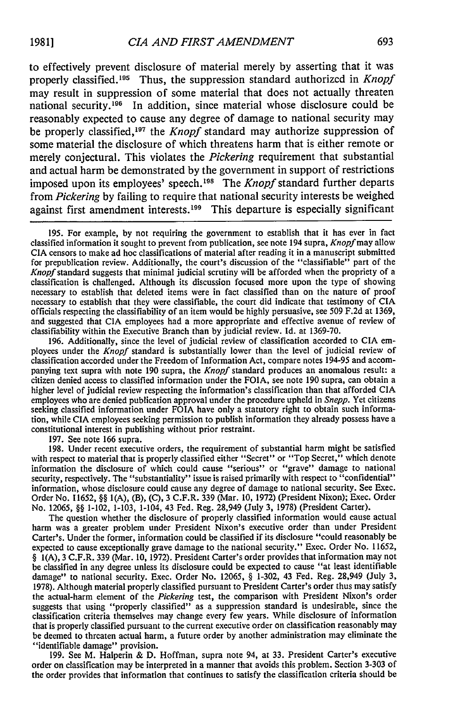to effectively prevent disclosure of material merely by asserting that it was properly classified.<sup>195</sup> Thus, the suppression standard authorized in *Knopf* may result in suppression of some material that does not actually threaten national security.<sup>196</sup> In addition, since material whose disclosure could be reasonably expected to cause any degree of damage to national security may be properly classified,<sup>197</sup> the *Knopf* standard may authorize suppression of some material the disclosure of which threatens harm that is either remote or merely conjectural. This violates the *Pickering* requirement that substantial and actual harm be demonstrated by the government in support of restrictions imposed upon its employees' speech.<sup>198</sup> The *Knopf* standard further departs from *Pickering* by failing to require that national security interests be weighed against first amendment interests.<sup>199</sup> This departure is especially significant

195. For example, by not requiring the government to establish that it has ever in fact classified information it sought to prevent from publication, see note 194 supra, *Knopf* may allow CIA censors to make ad hoc classifications of material after reading it in a manuscript submitted for prepublication review. Additionally, the court's discussion of the "classifiable" part of the *Knopf* standard suggests that minimal judicial scrutiny will be afforded when the propriety of a classification is challenged. Although its discussion focused more upon the type of showing necessary to establish that deleted items were in fact classified than on the nature of proof necessary to establish that they were classifiable, the court did indicate that testimony of CIA officials respecting the classifiability of an item would be highly persuasive, see 509 F.2d at 1369, and suggested that CIA employees had a more appropriate and effective avenue of review of classifiability within the Executive Branch than by judicial review. Id. at 1369-70.

196. Additionally, since the level of judicial review of classification accorded to CIA em- ployees under the *Knopf* standard is substantially lower than the level of judicial review of classification accorded under the Freedom of Information Act, compare notes 194-95 and accompanying text supra with note 190 supra, the *Knopf* standard produces an anomalous result: a citizen denied access to classified information under the FOIA, see note 190 supra, can obtain a higher level of judicial review respecting the information's classification than that afforded CIA employees who are denied publication approval under the procedure upheld in *Snepp.* Yet citizens seeking classified information under FOIA have only a statutory right to obtain such information, while CIA employees seeking permission to publish information they already possess have a constitutional interest in publishing without prior restraint.

197. See note 166 supra.

198. Under recent executive orders, the requirement of substantial harm might be satisfied with respect to material that is properly classified either "Secret" or "Top Secret," which denote information the disclosure of which could cause "serious" or "grave" damage to national security, respectively. The "substantiality" issue is raised primarily with respect to "confidential" information, whose disclosure could cause any degree of damage to national security. See Exec. Order No. 11652, §§ I(A), (B), (C), 3 C.F.R. 339 (Mar. 10, 1972) (President Nixon); Exec. Order No. 12065, §§ 1-102, 1-103, 1-104, 43 Fed. Reg. 28,949 (July 3, 1978) (President Carter).

The question whether the disclosure of properly classified information would cause actual harm was a greater problem under President Nixon's executive order than under President Carter's. Under the former, information could be classified if its disclosure "could reasonably be expected to cause exceptionally grave damage to the national security." Exec. Order No. 11652, § I(A), 3 C.F.R. 339 (Mar. **10,** 1972). President Carter's order provides that information may not be classified in any degree unless its disclosure could be expected to cause "at least identifiable damage" to national security. Exec. Order No. 12065, § 1-302, 43 Fed. Reg. 28,949 (July 3, 1978). Although material properly classified pursuant to President Carter's order thus may satisfy the actual-harm element of the *Pickering* test, the comparison with President Nixon's order suggests that using "properly classified" as a suppression standard is undesirable, since the classification criteria themselves may change every few years. While disclosure of information that is properly classified pursuant to the current executive order on classification reasonably may be deemed to threaten actual harm, a future order by another administration may eliminate the "identifiable damage" provision.

199. See M. Halperin & D. Hoffman, supra note 94, at 33. President Carter's executive order on classification may be interpreted in a manner that avoids this problem. Section 3-303 of the order provides that information that continues to satisfy the classification criteria should be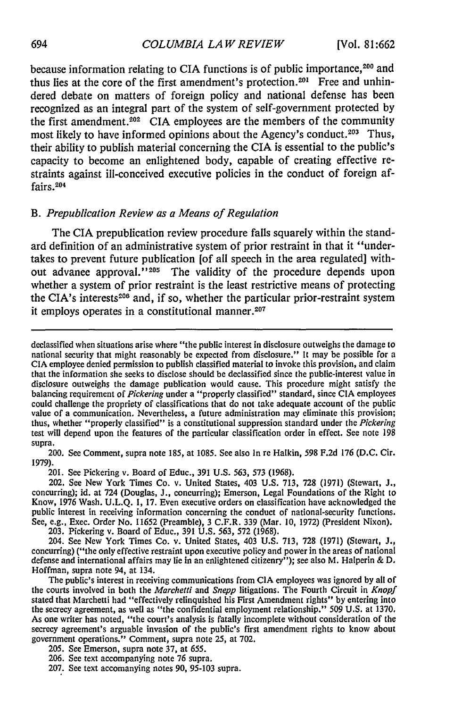because information relating to CIA functions is of public importance,<sup>200</sup> and thus lies at the core of the first amendment's protection.<sup>201</sup> Free and unhindered debate on matters of foreign policy and national defense has been recognized as an integral part of the system of self-government protected **by** the first amendment.202 CIA employees are the members of the community most likely to have informed opinions about the Agency's conduct.<sup>203</sup> Thus, their ability to publish material concerning the **CIA** is essential to the public's capacity to become an enlightened body, capable of creating effective restraints against ill-conceived executive policies in the conduct of foreign affairs.204

#### *B. Prepublication Review as a Means of Regulation*

The **CIA** prepublication review procedure falls squarely within the standard definition of an administrative system of prior restraint in that it "undertakes to prevent future publication [of all speech in the area regulated] without advance approval."<sup>205</sup> The validity of the procedure depends upon whether a system of prior restraint is the least restrictive means of protecting the CIA's interests<sup>206</sup> and, if so, whether the particular prior-restraint system it employs operates in a constitutional manner. $207$ 

200. See Comment, supra note 185, at 1085. See also In re Halkin, 598 F.2d 176 (D.C. Cir. 1979).

201. See Pickering v. Board of Educ., 391 U.S. 563, 573 (1968).

202. See New York Times Co. v. United States, 403 U.S. 713, 728 (1971) (Stewart, J., concurring); id. at 724 (Douglas, J., concurring); Emerson, Legal Foundations of the Right to Know, 1976 Wash. U.L.Q. **1,** 17. Even executive orders on classification have acknowledged the public interest in receiving information concerning the conduct of national-security functions. See, e.g., Exec. Order No. 11652 (Preamble), 3 C.F.R. 339 (Mar. **10,** 1972) (President Nixon).

203. Pickering v. Board of Educ., 391 U.S. 563, 572 (1968).

204. See New York Times Co. v. United States, 403 U.S. 713, 728 (1971) (Stewart, J., concurring) ("the only effective restraint upon executive policy and power in the areas of national defense and international affairs may lie in an enlightened citizenry"); see also M. Halperin **& D.** Hoffman, supra note 94, at 134.

The public's interest in receiving communications from **CIA** employees was ignored **by** all of the courts involved in both the *Marchetti* and *Snepp* litigations. The Fourth Circuit in *Knopf* stated that Marchetti had "effectively relinquished his First Amendment rights" **by** entering into the secrecy agreement, as well as "the confidential employment relationship." **509 U.S.** at **1370.** As one writer has noted, "the court's analysis is fatally incomplete without consideration of the secrecy agreement's arguable invasion of the public's first amendment rights to know about government operations." Comment, supra note **25,** at **702.**

- **205.** See Emerson, supra note **37,** at 655.
- **206.** See text accompanying note **76** supra.
- **207.** See text accomanying notes **90, 95-103** supra.

declassified when situations arise where "the public interest in disclosure outweighs the damage to national security that might reasonably be expected from disclosure." It may be possible for a CIA employee denied permission to publish classified material to invoke this provision, and claim that the information she seeks to disclose should be declassified since the public-interest value in disclosure outweighs the damage publication would cause. This procedure might satisfy the balancing requirement of *Pickering* under a "properly classified" standard, since CIA employees could challenge the propriety of classifications that do not take adequate account of the public value of a communication. Nevertheless, a future administration may eliminate this provision; thus, whether "properly classified" is a constitutional suppression standard under the *Pickering* test will depend upon the features of the particular classification order in effect. See note 198 supra.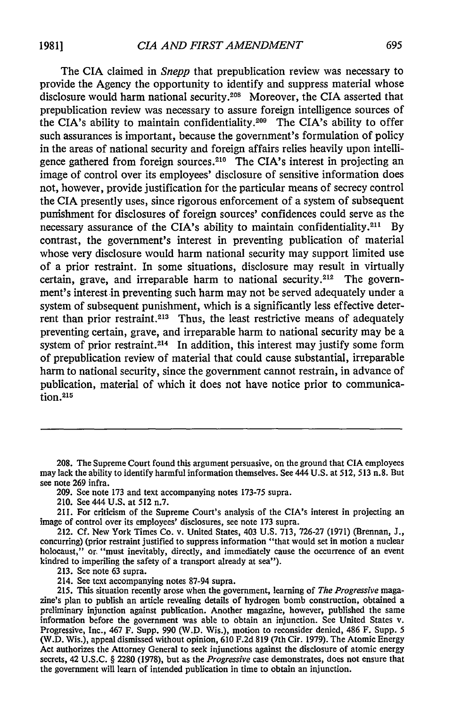The CIA claimed in *Snepp* that prepublication review was necessary to provide the Agency the opportunity to identify and suppress material whose disclosure would harm national security.208 Moreover, the CIA asserted that prepublication review was necessary to assure foreign intelligence sources of the CIA's ability to maintain confidentiality.209 The CIA's ability to offer such assurances is important, because the government's formulation of policy in the areas of national security and foreign affairs relies heavily upon intelligence gathered from foreign sources.<sup>210</sup> The CIA's interest in projecting an image of control over its employees' disclosure of sensitive information does not, however, provide justification for the particular means of secrecy control the CIA presently uses, since rigorous enforcement of a system of subsequent punishment for disclosures of foreign sources' confidences could serve as the necessary assurance of the CIA's ability to maintain confidentiality.<sup>211</sup> By contrast, the government's interest in preventing publication of material whose very disclosure would harm national security may support limited use of a prior restraint. In some situations, disclosure may result in virtually certain, grave, and irreparable harm to national security.<sup>212</sup> The government's interest in preventing such harm may not be served adequately under a system of subsequent punishment, which is a significantly less effective deterrent than prior restraint.<sup>213</sup> Thus, the least restrictive means of adequately preventing certain, grave, and irreparable harm to national security may be a system of prior restraint.<sup>214</sup> In addition, this interest may justify some form of prepublication review of material that could cause substantial, irreparable harm to national security, since the government cannot restrain, in advance of publication, material of which it does not have notice prior to communica**tion.215**

209. See note 173 and text accompanying notes 173-75 supra.

210. See 444 U.S. at 512 n.7.

**213.** See note 63 supra.

214. See text accompanying notes **87-94** supra.

**215.** This situation recently arose when the government, learning of *The Progressive* magazine's plan to publish an article revealing details of hydrogen bomb construction, obtained a preliminary injunction against publication. Another magazine, however, published the same information before the government was able to obtain an injunction. See United States v. Progressive, Inc., 467 F. Supp. **990** (W.D. Wis.), motion to reconsider denied, 486 F. Supp. **5** (W.D. Wis.), appeal dismissed without opinion, **610 F.2d 819** (7th Cir. **1979).** The Atomic Energy Act authorizes the Attorney General to seek injunctions against the disclosure of atomic energy secrets, 42 **U.S.C.** § **2280 (1978),** but as the *Progressive* case demonstrates, does not ensure that the government will learn of intended publication in time to obtain an injunction.

<sup>208.</sup> The Supreme Court found this argument persuasive, on the ground that CIA employees may lack the ability to identify harmful information themselves. See 444 U.S. at 512, 513 n.8. But see note 269 infra.

<sup>211.</sup> For criticism of the Supreme Court's analysis of the CIA's interest in projecting an image of control over its employees' disclosures, see note 173 supra.

<sup>212.</sup> Cf. New York Times Co. v. United States, 403 U.S. 713, 726-27 (1971) (Brennan, J., concurring) (prior restraint justified to suppress information "that would set in motion a nuclear holocaust," or, "must inevitably, directly, and immediately cause the occurrence of an event kindred to imperiling the safety of a transport already at sea").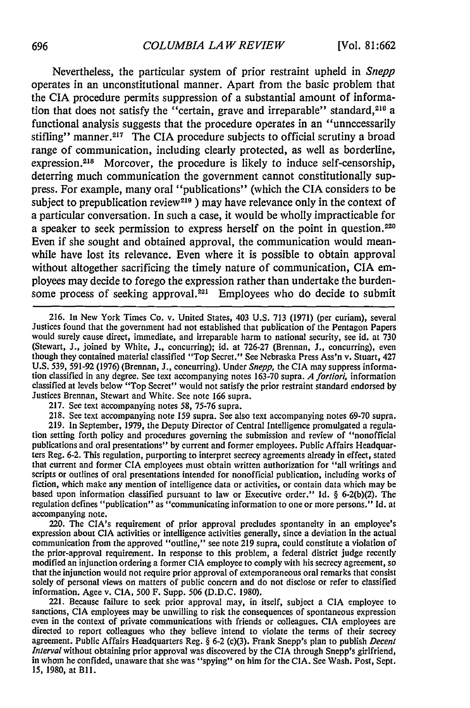Nevertheless, the particular system of prior restraint upheld in *Snepp* operates in an unconstitutional manner. Apart from the basic problem that the CIA procedure permits suppression of a substantial amount of information that does not satisfy the "certain, grave and irreparable" standard, $216$  a functional analysis suggests that the procedure operates in an "unnecessarily stifling" manner.<sup>217</sup> The CIA procedure subjects to official scrutiny a broad range of communication, including clearly protected, as well as borderline, expression.<sup>218</sup> Morcover, the procedure is likely to induce self-censorship, deterring much communication the government cannot constitutionally suppress. For example, many oral "publications" (which the **CIA** considers to be subject to prepublication review<sup>219</sup> ) may have relevance only in the context of **a** particular conversation. In such a case, it would be wholly impracticable for **a** speaker to seek permission to express herself on the point in question. <sup>220</sup> Even if she sought and obtained approval, the communication would meanwhile have lost its relevance. Even where it is possible to obtain approval without altogether sacrificing the timely nature of communication, **CIA** employees may decide to forego the expression rather than undertake the burdensome process of seeking approval.<sup>221</sup> Employees who do decide to submit

217. See text accompanying notes 58, 75-76 supra.

218. See text accompanying note 159 supra. See also text accompanying notes 69-70 supra.<br>219. In September, 1979, the Deputy Director of Central Intelligence promulgated a regulation setting forth policy and procedures gov publications and oral presentations" by current and former employees. Public Affairs Headquarters Reg. 6-2. This regulation, purporting to interpret secrecy agreements already in effect, stated that current and former CIA employees must obtain written authorization for "all writings and scripts or outlines of oral presentations intended for nonofficial publication, including works of fiction, which make any mention of intelligence data or activities, or contain data which may be based upon information classified pursuant to law or Executive order." Id. § 6-2(b)(2). The regulation defines "publication" as "communicating information to one or more persons." Id. at accompanying note.

220. The CIA's requirement of prior approval precludes spontaneity in an employee's expression about CIA activities or intelligence activities generally, since a deviation in the actual communication from the approved "outline," see note 219 supra, could constitute a violation of the prior-approval requirement. In response to this problem, a federal district judge recently modified an injunction ordering a former CIA employee to comply with his secrecy agreement, so that the injunction would not re solely of personal views on matters of public concern and do not disclose or refer to classified information. Agee v. CIA, 500 F. Supp. 506 (D.D.C. 1980).

221. Because failure to seek prior approval may, in itself, subject a CIA employee to sanctions, CIA employees may be unwilling to risk the consequences of spontaneous expression<br>even in the context of private communications with friends or colleagues. CIA employees are<br>directed to report colleagues who the agreement. Public Affairs Headquarters Reg. § 6-2 (c)(3). Frank Snepp's plan to publish *Decent Interval* without obtaining prior approval was discovered by the CIA through Snepp's girlfriend, in whom he confided, unaware that she was "spying" on him for the CIA. See Wash. Post, Sept. 15, 1980, at Bll.

<sup>216.</sup> In New York Times Co. v. United States, 403 U.S. 713 (1971) (per curiam), several Justices found that the government had not established that publication of the Pentagon Papers would surely cause direct, immediate, and irreparable harm to national security, see id. at 730 (Stewart, J., joined by White, J., concurring); id. at 726-27 (Brennan, **J.,** concurring), even though they contained material classified "Top Secret." See Nebraska Press Ass'n v. Stuart, 427 U.S. 539, 591-92 (1976) (Brennan, **J.,** concurring). Under *Snepp,* the CIA may suppress information classified in any degree. See text accompanying notes 163-70 supra. *A fortiori,* information classified at levels below "Top Secret" would not satisfy the prior restraint standard endorsed **by** Justices Brennan, Stewart and White. See note 166 supra.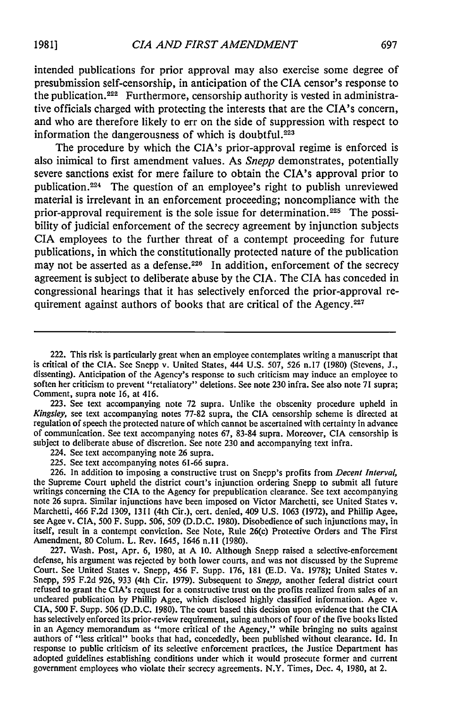intended publications for prior approval may also exercise some degree of presubmission self-censorship, in anticipation of the **CIA** censor's response to the publication. 222 Furthermore, censorship authority is vested in administrative officials charged with protecting the interests that are the CIA's concern, and who are therefore likely to err on the side of suppression with respect to information the dangerousness of which is doubtful.<sup>223</sup>

The procedure by which the CIA's prior-approval regime is enforced is also inimical to first amendment values. As *Snepp* demonstrates, potentially severe sanctions exist for mere failure to obtain the CIA's approval prior to publication.<sup>224</sup> The question of an employee's right to publish unreviewed material is irrelevant in an enforcement proceeding; noncompliance with the prior-approval requirement is the sole issue for determination.<sup>225</sup> The possibility of judicial enforcement of the secrecy agreement **by** injunction subjects CIA employees to the further threat of a contempt proceeding for future publications, in which the constitutionally protected nature of the publication may not be asserted as a defense.<sup>226</sup> In addition, enforcement of the secrecy agreement is subject to deliberate abuse **by** the CIA. The **CIA** has conceded in congressional hearings that it has selectively enforced the prior-approval requirement against authors of books that are critical of the Agency.<sup>227</sup>

223. See text accompanying note 72 supra. Unlike the obscenity procedure upheld in *Kingsley,* see text accompanying notes 77-82 supra, the CIA censorship scheme is directed at regulation of speech the protected nature of which cannot be ascertained with certainty in advance of communication. See text accompanying notes 67, 83-84 supra. Moreover, CIA censorship is subject to deliberate abuse of discretion. See note 230 and accompanying text infra.

224. See text accompanying note 26 supra.

225. See text accompanying notes 61-66 supra. 226. In addition to imposing a constructive trust on Snepp's profits from *Decent Interval,* the Supreme Court upheld the district court's injunction ordering Snepp to submit all future writings concerning the CIA to the Agency for prepublication clearance. See text accompanying note 26 supra. Similar injunctions have been imposed on Victor Marchetti, see United States v. Marchetti, 466 F.2d 1309, 1311 (4th Cir.), cert. denied, 409 U.S. 1063 (1972), and Phillip Agee, see Agee v. CIA, 500 F. Supp. 506, 509 (D.D.C. 1980). Disobedience of such injunctions may, in itself, result in a contempt conviction. See Note, Rule 26(c) Protective Orders and The First Amendment, 80 Colum. L. Rev. 1645, 1646 n.11 (1980).

227. Wash. Post, Apr. 6, 1980, at A 10. Although Snepp raised a selective-enforcement defense, his argument was rejected by both lower courts, and was not discussed by the Supreme Court. See United States v. Snepp, 456 F. Supp. 176, 181 (E.D. Va. 1978); United States v. Snepp, 595 F.2d 926, 933 (4th Cir. 19 refused to grant the CIA's request for a constructive trust on the profits realized from sales of an uncleared publication by Phillip Agee, which disclosed highly classified information. Agee v. CIA, 500 F. Supp. 506 (D.D. has selectively enforced its prior-review requirement, suing authors of four of the five books listed in an Agency memorandum as "more critical of the Agency," while bringing no suits against authors of "less critical" books that had, concededly, been published without clearance. Id. In response to public criticism of its selective enforcement practices, the Justice Department has adopted guidelines establishing conditions under which it would prosecute former and current government employees who violate their secrecy agreements. N.Y. Times, Dec. 4, 1980, at 2.

<sup>222.</sup> This risk is particularly great when an employee contemplates writing a manuscript that is critical of the CIA. See Snepp v. United States, 444 U.S. 507, 526 n.17 (1980) (Stevens, J., dissenting). Anticipation of the Agency's response to such criticism may induce an employee to soften her criticism to prevent "retaliatory" deletions. See note 230 infra. See also note 71 supra; Comment, supra note 16, at 416.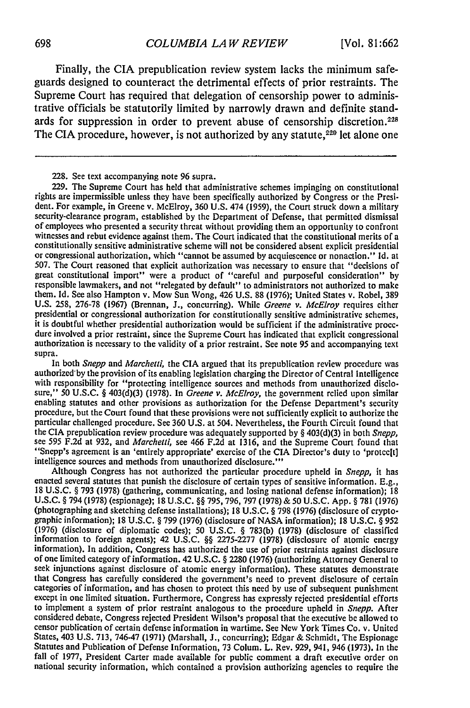Finally, the CIA prepublication review system lacks the minimum safeguards designed to counteract the detrimental effects of prior restraints. The Supreme Court has required that delegation of censorship power to administrative officials be statutorily limited by narrowly drawn and definite standards for suppression in order to prevent abuse of censorship discretion.<sup>228</sup> The CIA procedure, however, is not authorized by any statute,<sup>229</sup> let alone one

228. See text accompanying note 96 supra.

229. The Supreme Court has held that administrative schemes impinging on constitutional rights are impermissible unless they have been specifically authorized by Congress or the President. For example, in Greene v. McElroy, 360 U.S. 474 (1959), the Court struck down a military security-clearance program, established by the Department of Defense, that permitted dismissal of employees who presented a security threat without providing them an opportunity to confront witnesses and rebut evidence against them. The Court indicated that the constitutional merits of a constitutionally sensitive administrative scheme will not be considered absent explicit presidential or congressional autho 507. The Court reasoned that explicit authorization was necessary to ensure that "decisions of great constitutional import" were a product of "careful and purposeful consideration" by responsible lawmakers, and not "relegated by default" to administrators not authorized to make them. Id. See also Hampton v. Mow Sun Wong, 426 U.S. 88 (1976); United States v. Robel, 389 U.S. 258, 276-78 (1967) (Brennan, J., concurring). While *Greene v. McElroy* requires either presidential or congressional authorization for constitutionally sensitive administrative schemes, it is doubtful whether presidential authorization would be sufficient if the administrative proce- dure involved a prior restraint, since the Supreme Court has indicated that explicit congressional authorization is necessary to the validity of a prior restraint. See note 95 and accompanying text supra.

In both *Snepp* and *Marchetti,* the CIA argued that its prepublication review procedure was authorized'by the provision of its enabling legislation charging the Director of Central Intelligence with responsibility for "protecting intelligence sources and methods from unauthorized disclosure," 50 U.S.C. § 403(d)(3) (1978). In *Greene v. McElroy,* the government relied upon similar enabling statutes and other provisions as authorization for the Defense Department's security procedure, but the Court found that these provisions were not sufficiently explicit to authorize the particular challenged procedure. See 360 U.S. at 504. Nevertheless, the Fourth Circuit found that the CIA prepublication review procedure was adequately supported by § 403(d)(3) in both *Snepp,* see 595 F.2d at 932, and *Marchetti,* see 466 F.2d at 1316, and the Supreme Court found that "Snepp's agreement is an 'entirely appropriate' exercise of the CIA Director's duty to 'protec[t] intelligence sources and methods from unauthorized disclosure.'

Although Congress has not authorized the particular procedure upheld in *Snepp,* it has enacted several statutes that punish the disclosure of certain types of sensitive information. E.g., 18 U.S.C. **§** 793 (1978) (gathering, communicating, and losing national defense information); 18 U.S.C. **§** 794 (1978) (espionage); 18 **U.S.C. §§** 795,796, 797 (1978) & 50 U.S.C. App. **§** 781 (1976) (photographing and sketching defense installations); 18 U.S.C. **§** 798 (1976) (disclosure of crypto- graphic information); 18 U.S.C. **§** 799 (1976) (disclosure of NASA information); 18 U.S.C. **§** <sup>952</sup> (1976) (disclosure of diplomatic codes); 50 U.S.C. **§** 783(b) (1978) (disclosure of classified information to foreign agents); 42 U.S.C. **§§** 2275-2277 (1978) (disclosure of atomic energy information). In addition, Congress has authorized the use of prior restraints against disclosure of one limited category of information. 42 U.S.C. **§** 2280 (1976) (authorizing Attorney General to seek injunctions against disclosure of atomic energy information). These statutes demonstrate that Congress has carefully considered the government's need to prevent disclosure of certain categories of information, and has chosen to protect this need by use of subsequent punishment except in one limited situation. Furthermore, Congress has expressly rejected presidential efforts to implement a system of prior restraint analogous to the procedure upheld in *Snepp.* After considered debate, Congress rejected President Wilson's proposal that the executive be allowed to<br>censor publication of certain defense information in wartime. See New York Times Co. v. United States, 403 U.S. 713, 746-47 (1971) (Marshall, J., concurring); Edgar & Schmidt, The Espionage Statutes and Publication of Defense Information, 73 Colum. L. Rev. 929, 941, 946 (1973). In the fall of 1977, President Carter made available for public comment a draft executive order on national security information, which contained a provision authorizing agencies to require the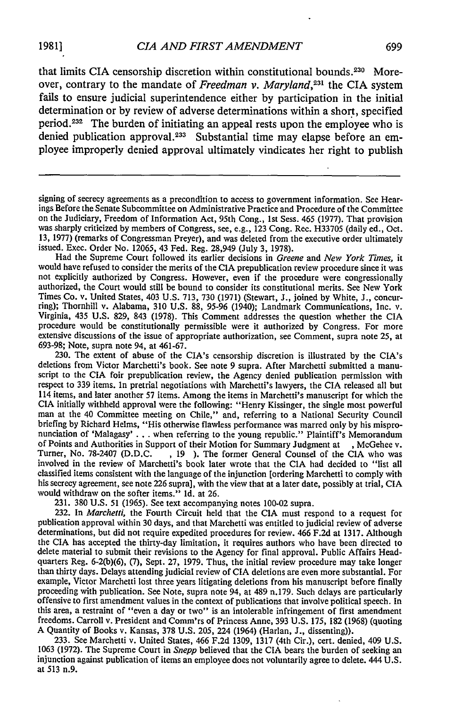that limits CIA censorship discretion within constitutional bounds. $2^{20}$  Moreover, contrary to the mandate of *Freedman v. Maryland*,<sup>231</sup>, the CIA system fails to ensure judicial superintendence either by participation in the initial determination or by review of adverse determinations within a short, specified period.<sup>232</sup> The burden of initiating an appeal rests upon the employee who is denied publication approval.<sup>233</sup> Substantial time may elapse before an employee improperly denied approval ultimately vindicates her right to publish

signing of secrecy agreements as a precondition to access to government information. See Hear-<br>ings Before the Senate Subcommittee on Administrative Practice and Procedure of the Committee on the Judiciary, Freedom of Information Act, 95th Cong., 1st Sess. 465 (1977). That provision was sharply criticized by members of Congress, see, e.g., 123 Cong. Rec. H33705 (daily ed., Oct. 13, 1977) (remarks of Congressman Preyer), and was deleted from the executive order ultimately issued. Exec. Order No. 12065, 43 Fed. Reg. 28,949 (July 3, 1978).<br>Had the Supreme Court followed its earlier decisions in *Gre* 

would have refused to consider the merits of the CIA prepublication review procedure since it was not explicitly authorized by Congress. However, even if the procedure were congressionally authorized, the Court would still Times Co. v. United States, 403 U.S. 713, 730 (1971) (Stewart, J., joined by White, J., concurring); Thornhill v. Alabama, 310 U.S. 88, 95-96 (1940); Landmark Communications, Inc. v. Virginia, 435 U.S. 829, 843 (1978). Thi procedure would be constitutionally permissible were it authorized by Congress. For more extensive discussions of the issue of appropriate authorization, see Comment, supra note *25,* at 693-98; Note, supra note 94, at 461-67.

230. The extent of abuse of the CIA's censorship discretion is illustrated by the CIA's deletions from Victor Marchetti's book. See note 9 supra. After Marchetti submitted a manu- script to the CIA foir prepublication review, the Agency denied publication permission with respect to 339 items. In pretrial negotiations with Marchetti's lawyers, the CIA released all but 114 items, and later another 57 items. Among the items in Marchetti's manuscript for which the CIA initially withheld approval were the following: "Henry Kissinger, the single most powerful man at the 40 Committee meeting on Chile," and, referring to a National Security Council briefing by Richard Helms, "His otherwise flawless performance was marred only by his mispro- nunciation of 'Malagasy' **. .** . when referring to the young republic." Plaintiff's Memorandum of Points and Authorities in Support of their Motion for Summary Judgment at , McGehee v.<br>Turner, No. 78-2407 (D.D.C., 19). The former General Counsel of the CIA who was involved in the review of Marchetti's book later wro classified items consistent with the language of the injunction [ordering Marchetti to comply with his secrecy agreement, see note 226 supra], with the view that at a later date, possibly at trial, CIA would withdraw on the softer items." Id. at 26.

231. 380 U.S. 51 (1965). See text accompanying notes 100-02 supra. 232. In *Marchetti,* the Fourth Circuit held that the CIA must respond to a request for publication approval within 30 days, and that Marchetti was entitled to judicial review of adverse determinations, but did not require expedited procedures for review. 466 F.2d at 1317. Although the CIA has accepted the thirty-day limitation, it requires authors who have been directed to delete material to submit their revisions to the Agency for final approval. Public Affairs Headquarters Reg. 6-2(b)(6), (7), Sept. 27, 1979. Thus, the initial review procedure may take longer than thirty days. Delays attending judicial review of CIA deletions are even more substantial. For example, Victor Marchetti lost three years litigating deletions from his manuscript before finally<br>proceeding with publication. See Note, supra note 94, at 489 n.179. Such delays are particularly<br>offensive to first amendme this area, a restraint of "even a day or two" is an intolerable infringement of first amendment freedoms. Carroll v. President and Comm'rs of Princess Anne, 393 U.S. 175, 182 (1968) (quoting A Quantity of Books v. Kansas, 378 U.S. 205, 224 (1964) (Harlan, J., dissenting)).<br>233. See Marchetti v. United States, 466 F.2

1063 (1972). The Supreme Court in *Snepp* believed that the CIA bears the burden of seeking an injunction against publication of items an employee does not voluntarily agree to delete. 444 U.S. at 513 n.9.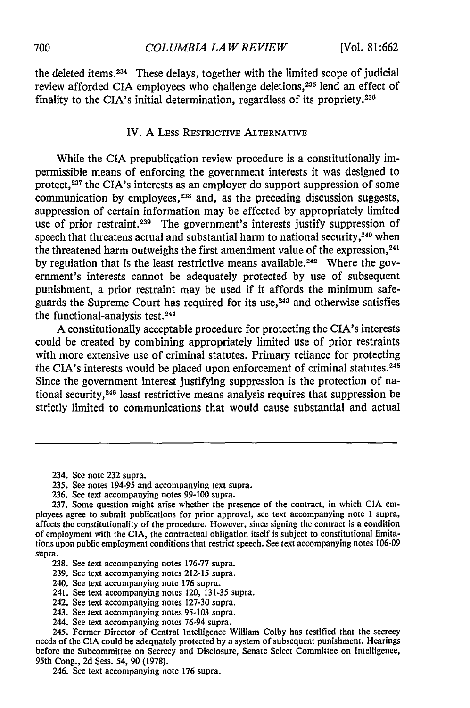the deleted items. 234 These delays, together with the limited scope of judicial review afforded CIA employees who challenge deletions,<sup>235</sup> lend an effect of finality to the CIA's initial determination, regardless of its propriety.<sup>236</sup>

#### IV. A LEss **RESTRICTIVE ALTERNATIVE**

While the CIA prepublication review procedure is a constitutionally impermissible means of enforcing the government interests it was designed to protect,<sup>237</sup> the CIA's interests as an employer do support suppression of some communication **by** employees, 238 and, as the preceding discussion suggests, suppression of certain information may be effected by appropriately limited use of prior restraint.<sup>239</sup> The government's interests justify suppression of speech that threatens actual and substantial harm to national security,<sup>240</sup> when the threatened harm outweighs the first amendment value of the expression,<sup>241</sup> by regulation that is the least restrictive means available.<sup>242</sup> Where the government's interests cannot be adequately protected by use of subsequent punishment, a prior restraint may be used if it affords the minimum safeguards the Supreme Court has required for its use,<sup>243</sup> and otherwise satisfies the functional-analysis test.244

A constitutionally acceptable procedure for protecting the CIA's interests could be created by combining appropriately limited use of prior restraints with more extensive use of criminal statutes. Primary reliance for protecting the CIA's interests would be placed upon enforcement of criminal statutes.<sup>245</sup> Since the government interest justifying suppression is the protection of national security, 246 least restrictive means analysis requires that suppression be strictly limited to communications that would cause substantial and actual

236. See text accompanying notes 99-100 supra.

- 239. See text accompanying notes 212-15 supra.
- 240. See text accompanying note 176 supra.
- 241. See text accompanying notes 120, 131-35 supra.
- 242. See text accompanying notes 127-30 supra.
- 243. See text accompanying notes 95-103 supra.
- 244. See text accompanying notes 76-94 supra.

245. Former Director of Central Intelligence William Colby has testified that the secrecy needs of the CIA could be adequately protected by a system of subsequent punishment. Hearings before the Subcommittee on Secrecy and Disclosure, Senate Select Committee on Intelligence, 95th Cong., **2d** Sess. 54, **90** (1978).

246. See text accompanying note 176 supra.

<sup>234.</sup> See note 232 supra.

<sup>235.</sup> See notes 194-95 and accompanying text supra.

<sup>237.</sup> Some question might arise whether the presence of the contract, in which CIA employees agree to submit publications for prior approval, see text accompanying note 1 supra, affects the constitutionality of the procedure. However, since signing the contract is a condition of employment with the CIA, the contractual obligation itself is subject to constitutional limitations upon public employment conditions that restrict speech. See text accompanying notes **106-09** supra.

<sup>238.</sup> See text accompanying notes 176-77 supra.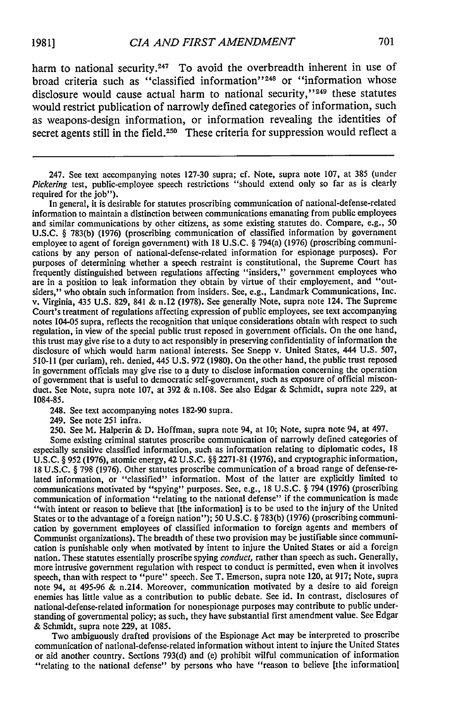harm to national security.<sup>247</sup> To avoid the overbreadth inherent in use of broad criteria such as "classified information"<sup>248</sup> or "information whose disclosure would cause actual harm to national security,"<sup>249</sup> these statutes would restrict publication of narrowly defined categories of information, such as weapons-design information, or information revealing the identities of secret agents still in the field.<sup>250</sup> These criteria for suppression would reflect a

In general, it is desirable for statutes proscribing communication of national-defense-related information to maintain a distinction between communications emanating from public employees and similar communications by other citizens, as some existing statutes do. Compare, e.g., 50 U.S.C. § 783(b) (1976) (proscribing communication of classified information by government employee to agent of foreign government) with 18 U.S.C. § 794(a) (1976) (proscribing communications by any person of national-defense-related information for espionage purposes). For purposes of determining whether a speech restraint is constitutional, the Supreme Court has frequently distinguished between regulations affecting "insiders," government employees who are in a position to leak information they obtain by virtue of their employement, and "outsiders," who obtain such information from insiders. See, e.g., Landmark Communications, Inc. v. Virginia, 435 U.S. 829, 841 & n.12 (1978). See generally Note, supra note 124. The Supreme Court's treatment of regulations affecting expression of public employees, see text accompanying notes 104-05 supra, reflects the recognition that unique considerations obtain with respect to such regulation, in view of the special public trust reposed in government officials. On the one hand, this trust may give rise to a duty to act responsibly in preserving confidentiality of information the disclosure of which would harm national interests. See Snepp v. United States, 444 U.S. 507, 510-11 (per curiam), reh. denied, 445 U.S. **972** (1980). On the other hand, the public trust reposed in government officials may give rise to a duty to disclose information concerning the operation of government that is useful to democratic self-government, such as exposure of official misconduct. See Note, supra note 107, at 392 & n.108. See also Edgar & Schmidt, supra note 229, at **1084-85.**

248. See text accompanying notes 182-90 supra.

249. See note 251 infra.

250. See M. Halperin & D. Hoffman, supra note 94, at **10;** Note, supra note 94, at 497.

Some existing criminal statutes proscribe communication of narrowly defined categories of especially sensitive classified information, such as information relating to diplomatic codes, **18 U.S.C.** § **952** (1976), atomic energy, 42 **U.S.C.** §§ 2271-81 (1976), and cryptographic information, 18 U.S.C. § **798 (1976).** Other statutes proscribe communication of a broad range of defense-related information, or "classified" information. Most of the latter are explicitly limited to communications motivated **by** "spying" purposes. See, e.g., 18 U.S.C. § 794 (1976) (proscribing communication of information "relating to the national defense" if the communication is made "with intent or reason to believe that [the information] is to be used to the injury of the United States or to the advantage of a foreign nation"); 50 **U.S.C.** § 783(b) (1976) (proscribing communication **by** government employees of classified information to foreign agents and members of Communist organizations). The breadth of these two provision may be justifiable since communication is punishable only when motivated **by** intent to injure the United States or aid a foreign nation. These statutes essentially proscribe spying *conduct,* rather than speech as such. Generally, more intrusive government regulation with respect to conduct is permitted, even when it involves speech, than with respect to "pure" speech. See T. Emerson, supra note 120, at 917; Note, supra note 94, at 495-96 & n.214. Moreover, communication motivated **by** a desire to aid foreign enemies has little value as a contribution to public debate. See id. In contrast, disclosures of national-defense-related information for nonespionage purposes may contribute to public understanding of governmental policy; as such, they have substantial first amendment value. See Edgar & Schmidt, supra note 229, at **1085.**

Two ambiguously drafted provisions of the Espionage Act may be interpreted to proscribe communication of national-defense-related information without intent to injure the United States or aid another country. Sections **793(d)** and (e) prohibit wilful communication of information "relating to the national defense" **by** persons who have "reason to believe [the information]

<sup>247.</sup> See text accompanying notes 127-30 supra; cf. Note, supra note 107, at 385 (under Pickering test, public-employee speech restrictions "should extend only so far as is clearly required for the job").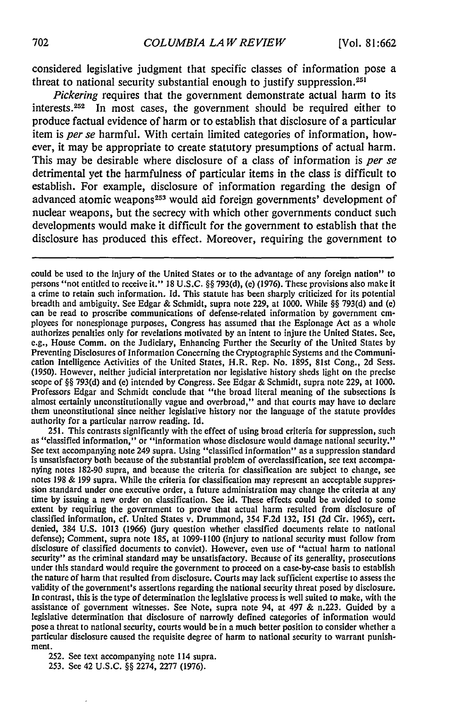considered legislative judgment that specific classes of information pose a threat to national security substantial enough to justify suppression.25'

*Pickering* requires that the government demonstrate actual harm to its interests. 252 In most cases, the government should be required either to produce factual evidence of harm or to establish that disclosure of a particular item is *per se* harmful. With certain limited categories of information, however, it may be appropriate to create statutory presumptions of actual harm. This may be desirable where disclosure of a class of information is *per se* detrimental yet the harmfulness of particular items in the class is difficult to establish. For example, disclosure of information regarding the design of advanced atomic weapons<sup>253</sup> would aid foreign governments' development of nuclear weapons, but the secrecy with which other governments conduct such developments would make it difficult for the government to establish that the disclosure has produced this effect. Moreover, requiring the government to

could be used to the injury of the United States or to the advantage of any foreign nation" to persons "not entitled to receive it." **18 U.S.C.** §§ 793(d), (e) (1976). These provisions also make it a crime to retain such information. Id. This statute has been sharply criticized for its potential breadth and ambiguity. See Edgar & Schmidt, supra note 229, at 1000. While §§ 793(d) and (e) can be read to proscribe communications of defense-related information by government cm-<br>ployees for nonespionage purposes, Congr authorizes penalties only for revelations motivated by an intent to injure the United States. See, e.g., House Comm. on the Judiciary, Enhancing Further the Security of the United States by Preventing Disclosures of Information Concerning the Cryptographic Systems and the Communication Intelligence Activities of the United States, H.R. Rep. No. 1895, 81st Cong., 2d Sess. (1950). However, neither judicial interpretation nor legislative history sheds light on the precise scope of §§ 793(d) and (e) intended by Congress. See Edgar & Schmidt, supra note 229, at 1000. Professors Edgar and Schmidt conclude that "the broad literal meaning of the subsections is almost certainly unconstitutionally vague and overbroad," and that courts may have to declare them unconstitutional since neither legislative history nor the language of the statute provides authority for a particular narrow reading. Id.

251. This contrasts significantly with the effect of using broad criteria for suppression, such as "classified information," or "information whose disclosure would damage national security." See text accompanying note 249 supra. Using "classified information" as a suppression standard is unsatisfactory both because of the substantial problem of overclassification, see text accompanying notes 182-90 supra, and because the criteria for classification are subject to change, see notes 198 & 199 supra. While the criteria for classification may represent an acceptable suppression standard under one executive order, a future administration may change the criteria at any time by issuing a new order on classification. See id. These effects could be avoided to some extent by requiring the government to prove that actual harm resulted from disclosure of classified information, cf. United States v. Drummond, 354 F.2d 132, 151 (2d Cir. 1965), cert. denied, 384 U.S. 1013 (1966) (jury question whether classified documents relate to national defense); Comment, supra note 185, at 1099-1100 (injury to national security must follow from disclosure of classified documents to convict). However, even use of "actual harm to national security" as the criminal standard may be unsatisfactory. Because of its generality, prosecutions under this standard would require the government to proceed on a case-by-case basis to establish the nature of harm that resulted from disclosure. Courts may lack sufficient expertise to assess the validity of the government's assertions regarding the national security threat posed by disclosure, In contrast, this is the type of determination the legislative process is well suited to make, with the assistance of government witnesses. See Note, supra note 94, at 497  $&$  n.223. Guided by a legislative determination that disclosure of narrowly defined categories of information would pose a threat to national security, courts would be in a much better position to consider whether a particular disclosure caused the requisite degree of harm to national security to warrant punishment.

252. See text accompanying note 114 supra.

253. See 42 **U.S.C.** §§ 2274, 2277 (1976).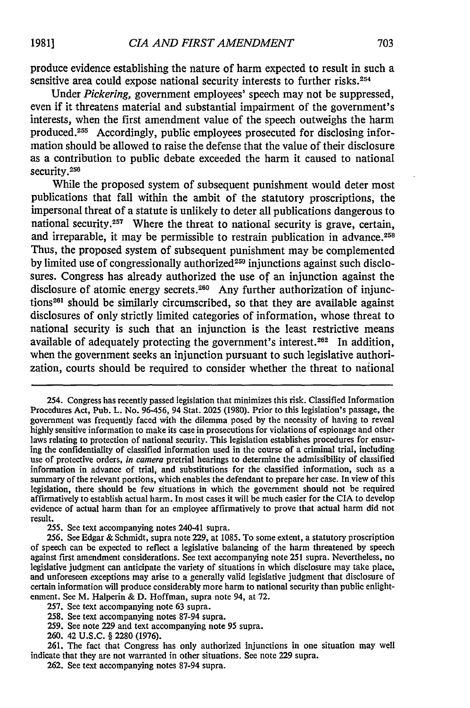produce evidence establishing the nature of harm expected to result in such a sensitive area could expose national security interests to further risks.<sup>254</sup>

Under *Pickering,* government employees' speech may not be suppressed, even if it threatens material and substantial impairment of the government's interests, when the first amendment value of the speech outweighs the harm produced.<sup>255</sup> Accordingly, public employees prosecuted for disclosing information should be allowed to raise the defense that the value of their disclosure as a contribution to public debate exceeded the harm it caused to national security.<sup>256</sup>

While the proposed system of subsequent punishment would deter most publications that fall within the ambit of the statutory proscriptions, the impersonal threat of a statute is unlikely to deter all publications dangerous to national security.<sup>257</sup> Where the threat to national security is grave, certain, and irreparable, it may be permissible to restrain publication in advance.<sup>258</sup> Thus, the proposed system of subsequent punishment may be complemented by limited use of congressionally authorized<sup>259</sup> injunctions against such disclosures. Congress has already authorized the use of an injunction against the disclosure of atomic energy secrets.<sup>260</sup> Any further authorization of injunctions<sup>261</sup> should be similarly circumscribed, so that they are available against disclosures of only strictly limited categories of information, whose threat to national security is such that an injunction is the least restrictive means available of adequately protecting the government's interest.<sup>262</sup> In addition, when the government seeks an injunction pursuant to such legislative authorization, courts should be required to consider whether the threat to national

<sup>254.</sup> Congress has recently passed legislation that minimizes this risk. Classified Information Procedures Act, Pub. L. No. 96-456, 94 Stat. **2025 (1980).** Prior to this legislation's passage, the government was frequently faced with the dilemma posed **by** the necessity of having to reveal **highly** sensitive information to make its case in prosecutions for violations of espionage and other laws relating to protection of national security. This legislation establishes procedures for ensuring the confidentiality of classified information used in the course of a criminal trial, including use of protective orders, *in* camera pretrial hearings to determine the admissibility of classified information in advance of trial, and substitutions for the classified information, such as a summary of the relevant portions, which enables the defendant to prepare her case. In view of this legislation, there should be few situations in which the government should not be required affirmatively to establish actual harm. In most cases it will be much easier for the **CIA** to develop evidence of actual harm than for an employee affirmatively to prove that actual harm did not result.

<sup>255.</sup> See text accompanying notes 240-41 supra.

<sup>256.</sup> See Edgar & Schmidt, supra note 229, at 1085. To some extent, a statutory proscription of speech can be expected to reflect a legislative balancing of the harm threatened by speech against first amendment considerations. See text accompanying note 251 supra. Nevertheless, no legislative judgment can anticipate the variety of situations in which disclosure may take place, and unforeseen exceptions may arise to a generally valid legislative judgment that disclosure of certain information will produce considerably more harm to national security than public enlightenment. See M. Halperin & D. Hoffman, supra note 94, at 72.

<sup>257.</sup> See text accompanying note 63 supra.

<sup>258.</sup> See text accompanying notes 87-94 supra.

<sup>259.</sup> See note 229 and text accompanying note 95 supra.

<sup>260. 42</sup> U.S.C. § 2280 (1976).

<sup>261.</sup> The fact that Congress has only authorized injunctions in one situation may well indicate that they are not warranted in other situations. See note 229 supra.

<sup>262.</sup> See text accompanying notes 87-94 supra.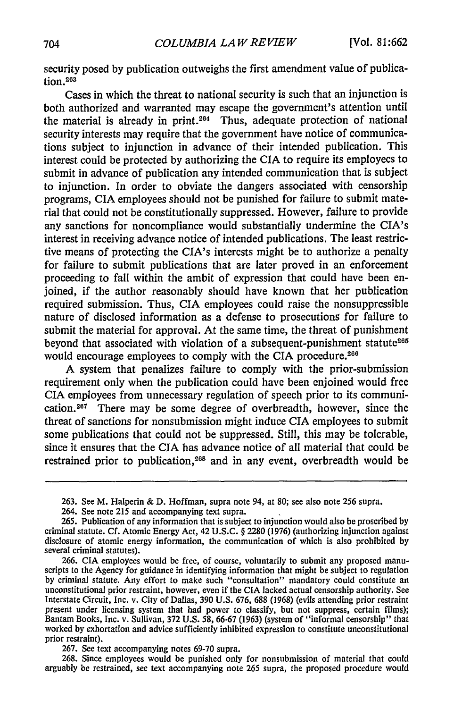security posed by publication outweighs the first amendment value of publica $tion.<sup>263</sup>$ 

Cases in which the threat to national security is such that an injunction is both authorized and warranted may escape the government's attention until the material is already in print.<sup>264</sup> Thus, adequate protection of national security interests may require that the government have notice of communications subject to injunction in advance of their intended publication. This interest could be protected by authorizing the CIA to require its employees to submit in advance of publication any intended communication that is subject to injunction. In order to obviate the dangers associated with censorship programs, CIA employees should not be punished for failure to submit material that could not be constitutionally suppressed. However, failure to provide any sanctions for noncompliance would substantially undermine the CIA's interest in receiving advance notice of intended publications. The least restrictive means of protecting the CIA's interests might be to authorize a penalty for failure to submit publications that are later proved in an enforcement proceeding to fall within the ambit of expression that could have been enjoined, if the author reasonably should have known that her publication required submission. Thus, CIA employees could raise the nonsuppressible nature of disclosed information as a defense to prosecutions for failure to submit the material for approval. At the same time, the threat of punishment beyond that associated with violation of a subsequent-punishment statute<sup>265</sup> would encourage employees to comply with the CIA procedure.<sup>266</sup>

A system that penalizes failure to comply with the prior-submission requirement only when the publication could have been enjoined would free CIA employees from unnecessary regulation of speech prior to its communication.<sup>267</sup> There may be some degree of overbreadth, however, since the threat of sanctions for nonsubmission might induce CIA employees to submit some publications that could not be suppressed. Still, this may be tolerable, since it ensures that the CIA has advance notice of all material that could be restrained prior to publication,<sup>268</sup> and in any event, overbreadth would be

264. See note 215 and accompanying text supra.

267. See text accompanying notes 69-70 supra.

268. Since employees would be punished only for nonsubmission of material that could arguably be restrained, see text accompanying note 265 supra, the proposed procedure would

<sup>263.</sup> See M. Halperin & D. Hoffman, supra note 94, at 80; see also note *256* supra.

<sup>265.</sup> Publication of any information that is subject to injunction would also be proscribed by criminal statute. Cf. Atomic Energy Act, 42 U.S.C. § 2280 (1976) (authorizing injunction against disclosure of atomic energy information, the communication of which is also prohibited by several criminal statutes).

<sup>266.</sup> CIA employees would be free, of course, voluntarily to submit any proposed manu scripts to the Agency for guidance in identifying information that might be subject to regulation by criminal statute. Any effort to make such "consultation" mandatory could constitute an unconstitutional prior restraint, however, even if the CIA lacked actual censorship authority. See Interstate Circuit, Inc. v. City of Dallas, 390 U.S. 676, 688 (1968) (evils attending prior restraint present under licensing system that had power to classify, but not suppress, certain films); Bantam Books, Inc. v. Sullivan, 372 U.S. **58,** 66-67 (1963) (system of "informal censorship" that worked by exhortation and advice sufficiently inhibited expression to constitute unconstitutional prior restraint).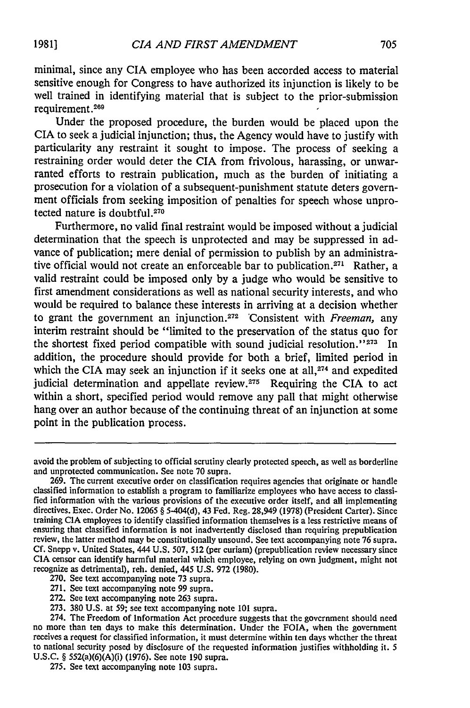minimal, since any CIA employee who has been accorded access to material sensitive enough for Congress to have authorized its injunction is likely to be well trained in identifying material that is subject to the prior-submission requirement. <sup>269</sup>

Under the proposed procedure, the burden would be placed upon the CIA to seek a judicial injunction; thus, the Agency would have to justify with particularity any restraint it sought to impose. The process of seeking a restraining order would deter the CIA from frivolous, harassing, or unwarranted efforts to restrain publication, much as the burden of initiating a prosecution for a violation of a subsequent-punishment statute deters government officials from seeking imposition of penalties for speech whose unprotected nature is doubtful.<sup>270</sup>

Furthermore, no valid final restraint would be imposed without a judicial determination that the speech is unprotected and may be suppressed in advance of publication; mere denial of permission to publish by an administrative official would not create an enforceable bar to publication.<sup>271</sup> Rather, a valid restraint could be imposed only by a judge who would be sensitive to first amendment considerations as well as national security interests, and who would be required to balance these interests in arriving at a decision whether to grant the government an injunction. 272 'Consistent with *Freeman,* any interim restraint should be "limited to the preservation of the status quo for the shortest fixed period compatible with sound judicial resolution."<sup>273</sup> In addition, the procedure should provide for both a brief, limited period in which the CIA may seek an injunction if it seeks one at all, $274$  and expedited judicial determination and appellate review. $275$  Requiring the CIA to act within a short, specified period would remove any pall that might otherwise hang over an author because of the continuing threat of an injunction at some point in the publication process.

avoid the problem of subjecting to official scrutiny clearly protected speech, as well as borderline and unprotected communication. See note 70 supra. 269. The current executive order on classification requires agencies that originate or handle

classified information to establish a program to familiarize employees who have access to classified information with the various provisions of the executive order itself, and all implementing directives. Exec. Order No. 12065 § 5-404(d), 43 Fed. Reg. 28,949 (1978) (President Carter). Since training CIA employees to identify classified information themselves is a less restrictive means of ensuring that classified information is not inadvertently disclosed than requiring prepublication review, the latter method may be constitutionally unsound. See text accompanying note 76 supra. Cf. Snepp v. United States, CIA censor can identify harmful material which employee, relying on own judgment, might not recognize as detrimental), reh. denied, 445 U.S. 972 (1980).

<sup>270.</sup> See text accompanying note 73 supra.

<sup>271.</sup> See text accompanying note 99 supra.

<sup>272.</sup> See text accompanying note 263 supra.

<sup>273. 380</sup> U.S. at 59; see text accompanying note **101** supra. 274. The Freedom of Information Act procedure suggests that the government should need no more than ten days to make this determination. Under the FOIA, when the government receives a request for classified information, it must determine within ten days whether the threat to national security posed by disclosure of the requested information justifies withholding it. 5 **U.S.C.** § 552(a)(6)(A)(i) **(1976).** See note **190** supra.

<sup>275.</sup> See text accompanying note **103** supra.